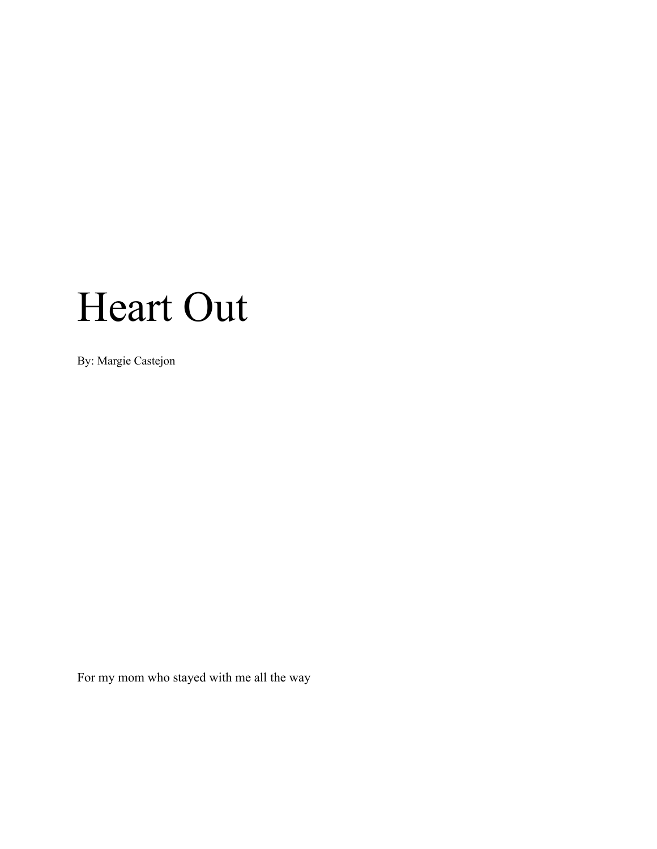# Heart Out

By: Margie Castejon

For my mom who stayed with me all the way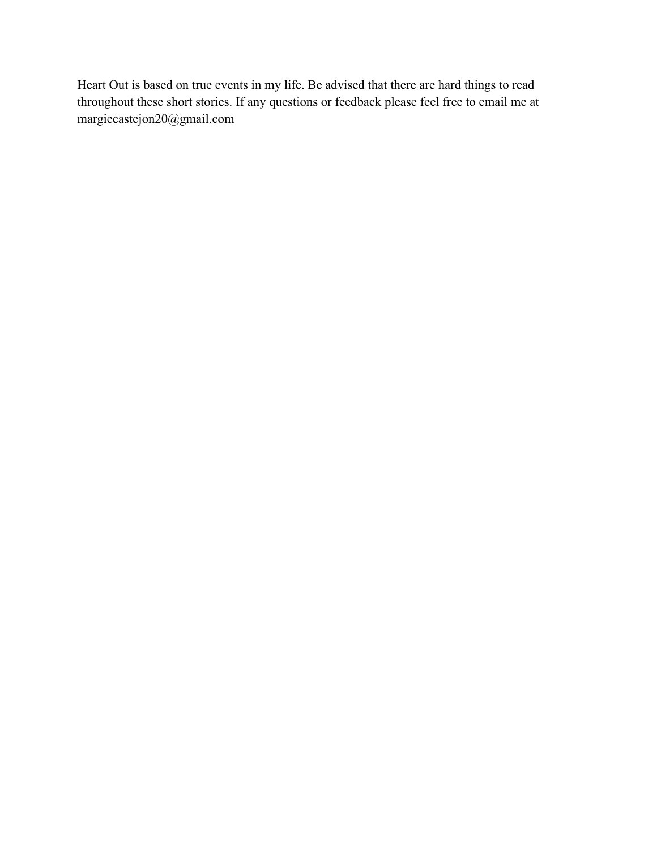Heart Out is based on true events in my life. Be advised that there are hard things to read throughout these short stories. If any questions or feedback please feel free to email me at margiecastejon20@gmail.com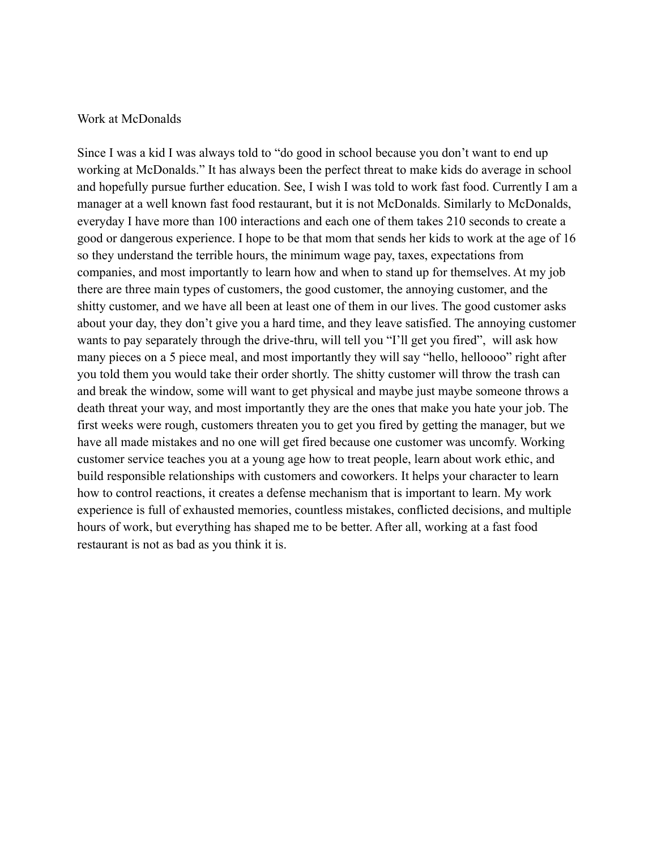#### Work at McDonalds

Since I was a kid I was always told to "do good in school because you don't want to end up working at McDonalds." It has always been the perfect threat to make kids do average in school and hopefully pursue further education. See, I wish I was told to work fast food. Currently I am a manager at a well known fast food restaurant, but it is not McDonalds. Similarly to McDonalds, everyday I have more than 100 interactions and each one of them takes 210 seconds to create a good or dangerous experience. I hope to be that mom that sends her kids to work at the age of 16 so they understand the terrible hours, the minimum wage pay, taxes, expectations from companies, and most importantly to learn how and when to stand up for themselves. At my job there are three main types of customers, the good customer, the annoying customer, and the shitty customer, and we have all been at least one of them in our lives. The good customer asks about your day, they don't give you a hard time, and they leave satisfied. The annoying customer wants to pay separately through the drive-thru, will tell you "I'll get you fired", will ask how many pieces on a 5 piece meal, and most importantly they will say "hello, helloooo" right after you told them you would take their order shortly. The shitty customer will throw the trash can and break the window, some will want to get physical and maybe just maybe someone throws a death threat your way, and most importantly they are the ones that make you hate your job. The first weeks were rough, customers threaten you to get you fired by getting the manager, but we have all made mistakes and no one will get fired because one customer was uncomfy. Working customer service teaches you at a young age how to treat people, learn about work ethic, and build responsible relationships with customers and coworkers. It helps your character to learn how to control reactions, it creates a defense mechanism that is important to learn. My work experience is full of exhausted memories, countless mistakes, conflicted decisions, and multiple hours of work, but everything has shaped me to be better. After all, working at a fast food restaurant is not as bad as you think it is.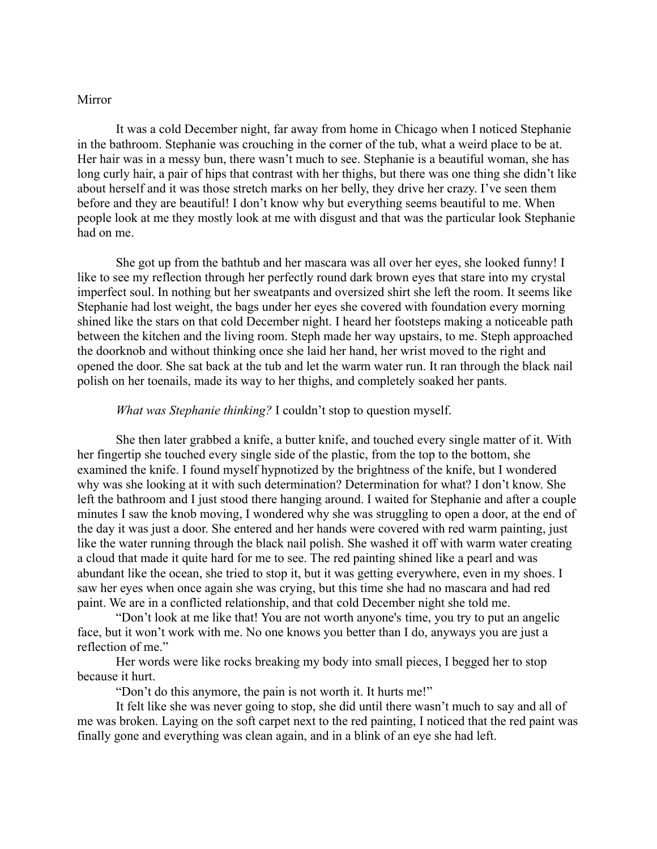#### Mirror

It was a cold December night, far away from home in Chicago when I noticed Stephanie in the bathroom. Stephanie was crouching in the corner of the tub, what a weird place to be at. Her hair was in a messy bun, there wasn't much to see. Stephanie is a beautiful woman, she has long curly hair, a pair of hips that contrast with her thighs, but there was one thing she didn't like about herself and it was those stretch marks on her belly, they drive her crazy. I've seen them before and they are beautiful! I don't know why but everything seems beautiful to me. When people look at me they mostly look at me with disgust and that was the particular look Stephanie had on me.

She got up from the bathtub and her mascara was all over her eyes, she looked funny! I like to see my reflection through her perfectly round dark brown eyes that stare into my crystal imperfect soul. In nothing but her sweatpants and oversized shirt she left the room. It seems like Stephanie had lost weight, the bags under her eyes she covered with foundation every morning shined like the stars on that cold December night. I heard her footsteps making a noticeable path between the kitchen and the living room. Steph made her way upstairs, to me. Steph approached the doorknob and without thinking once she laid her hand, her wrist moved to the right and opened the door. She sat back at the tub and let the warm water run. It ran through the black nail polish on her toenails, made its way to her thighs, and completely soaked her pants.

#### *What was Stephanie thinking?* I couldn't stop to question myself.

She then later grabbed a knife, a butter knife, and touched every single matter of it. With her fingertip she touched every single side of the plastic, from the top to the bottom, she examined the knife. I found myself hypnotized by the brightness of the knife, but I wondered why was she looking at it with such determination? Determination for what? I don't know. She left the bathroom and I just stood there hanging around. I waited for Stephanie and after a couple minutes I saw the knob moving, I wondered why she was struggling to open a door, at the end of the day it was just a door. She entered and her hands were covered with red warm painting, just like the water running through the black nail polish. She washed it off with warm water creating a cloud that made it quite hard for me to see. The red painting shined like a pearl and was abundant like the ocean, she tried to stop it, but it was getting everywhere, even in my shoes. I saw her eyes when once again she was crying, but this time she had no mascara and had red paint. We are in a conflicted relationship, and that cold December night she told me.

"Don't look at me like that! You are not worth anyone's time, you try to put an angelic face, but it won't work with me. No one knows you better than I do, anyways you are just a reflection of me."

Her words were like rocks breaking my body into small pieces, I begged her to stop because it hurt.

"Don't do this anymore, the pain is not worth it. It hurts me!"

It felt like she was never going to stop, she did until there wasn't much to say and all of me was broken. Laying on the soft carpet next to the red painting, I noticed that the red paint was finally gone and everything was clean again, and in a blink of an eye she had left.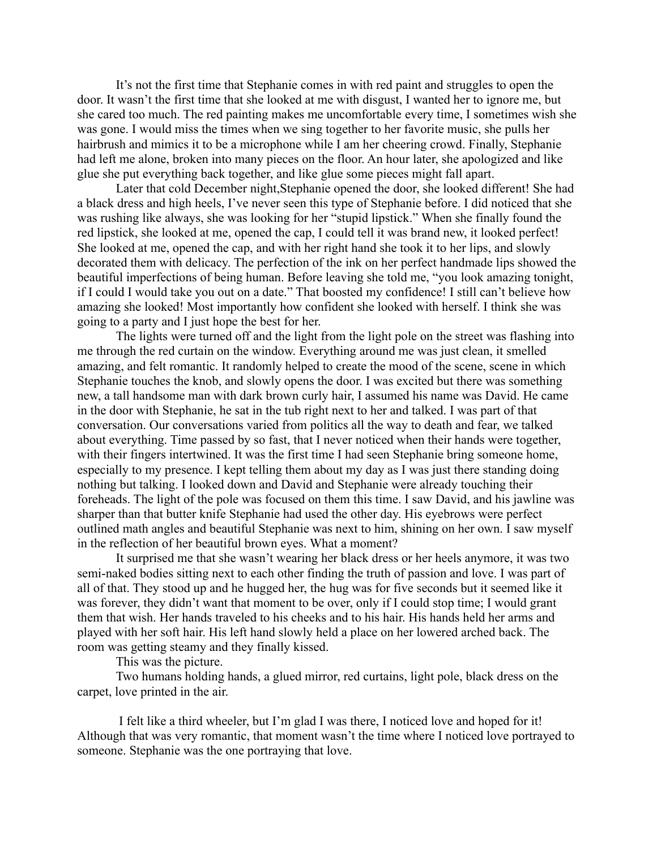It's not the first time that Stephanie comes in with red paint and struggles to open the door. It wasn't the first time that she looked at me with disgust, I wanted her to ignore me, but she cared too much. The red painting makes me uncomfortable every time, I sometimes wish she was gone. I would miss the times when we sing together to her favorite music, she pulls her hairbrush and mimics it to be a microphone while I am her cheering crowd. Finally, Stephanie had left me alone, broken into many pieces on the floor. An hour later, she apologized and like glue she put everything back together, and like glue some pieces might fall apart.

Later that cold December night,Stephanie opened the door, she looked different! She had a black dress and high heels, I've never seen this type of Stephanie before. I did noticed that she was rushing like always, she was looking for her "stupid lipstick." When she finally found the red lipstick, she looked at me, opened the cap, I could tell it was brand new, it looked perfect! She looked at me, opened the cap, and with her right hand she took it to her lips, and slowly decorated them with delicacy. The perfection of the ink on her perfect handmade lips showed the beautiful imperfections of being human. Before leaving she told me, "you look amazing tonight, if I could I would take you out on a date." That boosted my confidence! I still can't believe how amazing she looked! Most importantly how confident she looked with herself. I think she was going to a party and I just hope the best for her.

The lights were turned off and the light from the light pole on the street was flashing into me through the red curtain on the window. Everything around me was just clean, it smelled amazing, and felt romantic. It randomly helped to create the mood of the scene, scene in which Stephanie touches the knob, and slowly opens the door. I was excited but there was something new, a tall handsome man with dark brown curly hair, I assumed his name was David. He came in the door with Stephanie, he sat in the tub right next to her and talked. I was part of that conversation. Our conversations varied from politics all the way to death and fear, we talked about everything. Time passed by so fast, that I never noticed when their hands were together, with their fingers intertwined. It was the first time I had seen Stephanie bring someone home, especially to my presence. I kept telling them about my day as I was just there standing doing nothing but talking. I looked down and David and Stephanie were already touching their foreheads. The light of the pole was focused on them this time. I saw David, and his jawline was sharper than that butter knife Stephanie had used the other day. His eyebrows were perfect outlined math angles and beautiful Stephanie was next to him, shining on her own. I saw myself in the reflection of her beautiful brown eyes. What a moment?

It surprised me that she wasn't wearing her black dress or her heels anymore, it was two semi-naked bodies sitting next to each other finding the truth of passion and love. I was part of all of that. They stood up and he hugged her, the hug was for five seconds but it seemed like it was forever, they didn't want that moment to be over, only if I could stop time; I would grant them that wish. Her hands traveled to his cheeks and to his hair. His hands held her arms and played with her soft hair. His left hand slowly held a place on her lowered arched back. The room was getting steamy and they finally kissed.

This was the picture.

Two humans holding hands, a glued mirror, red curtains, light pole, black dress on the carpet, love printed in the air.

I felt like a third wheeler, but I'm glad I was there, I noticed love and hoped for it! Although that was very romantic, that moment wasn't the time where I noticed love portrayed to someone. Stephanie was the one portraying that love.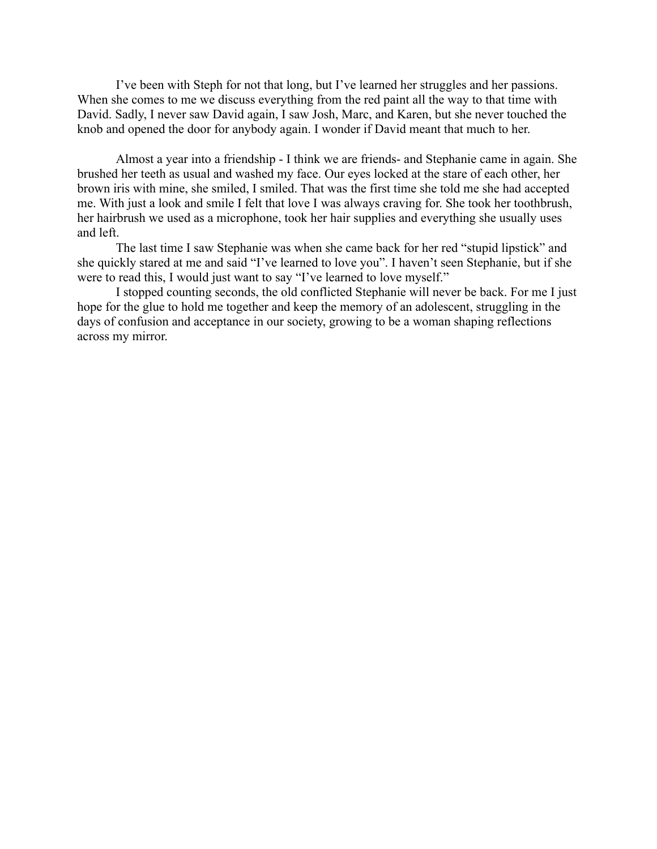I've been with Steph for not that long, but I've learned her struggles and her passions. When she comes to me we discuss everything from the red paint all the way to that time with David. Sadly, I never saw David again, I saw Josh, Marc, and Karen, but she never touched the knob and opened the door for anybody again. I wonder if David meant that much to her.

Almost a year into a friendship - I think we are friends- and Stephanie came in again. She brushed her teeth as usual and washed my face. Our eyes locked at the stare of each other, her brown iris with mine, she smiled, I smiled. That was the first time she told me she had accepted me. With just a look and smile I felt that love I was always craving for. She took her toothbrush, her hairbrush we used as a microphone, took her hair supplies and everything she usually uses and left.

The last time I saw Stephanie was when she came back for her red "stupid lipstick" and she quickly stared at me and said "I've learned to love you". I haven't seen Stephanie, but if she were to read this, I would just want to say "I've learned to love myself."

I stopped counting seconds, the old conflicted Stephanie will never be back. For me I just hope for the glue to hold me together and keep the memory of an adolescent, struggling in the days of confusion and acceptance in our society, growing to be a woman shaping reflections across my mirror.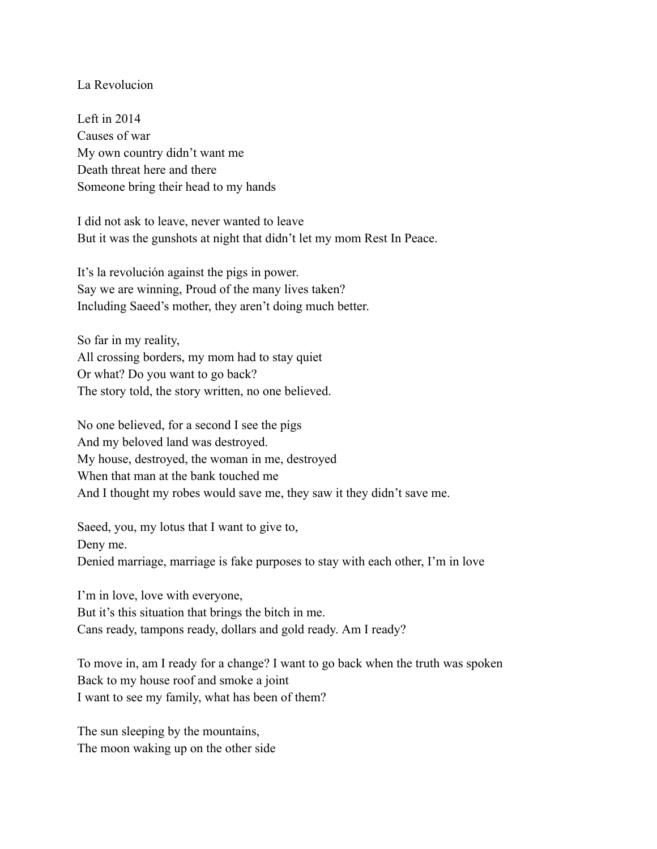# La Revolucion

Left in 2014 Causes of war My own country didn't want me Death threat here and there Someone bring their head to my hands

I did not ask to leave, never wanted to leave But it was the gunshots at night that didn't let my mom Rest In Peace.

It's la revolución against the pigs in power. Say we are winning, Proud of the many lives taken? Including Saeed's mother, they aren't doing much better.

So far in my reality, All crossing borders, my mom had to stay quiet Or what? Do you want to go back? The story told, the story written, no one believed.

No one believed, for a second I see the pigs And my beloved land was destroyed. My house, destroyed, the woman in me, destroyed When that man at the bank touched me And I thought my robes would save me, they saw it they didn't save me.

Saeed, you, my lotus that I want to give to, Deny me. Denied marriage, marriage is fake purposes to stay with each other, I'm in love

I'm in love, love with everyone, But it's this situation that brings the bitch in me. Cans ready, tampons ready, dollars and gold ready. Am I ready?

To move in, am I ready for a change? I want to go back when the truth was spoken Back to my house roof and smoke a joint I want to see my family, what has been of them?

The sun sleeping by the mountains, The moon waking up on the other side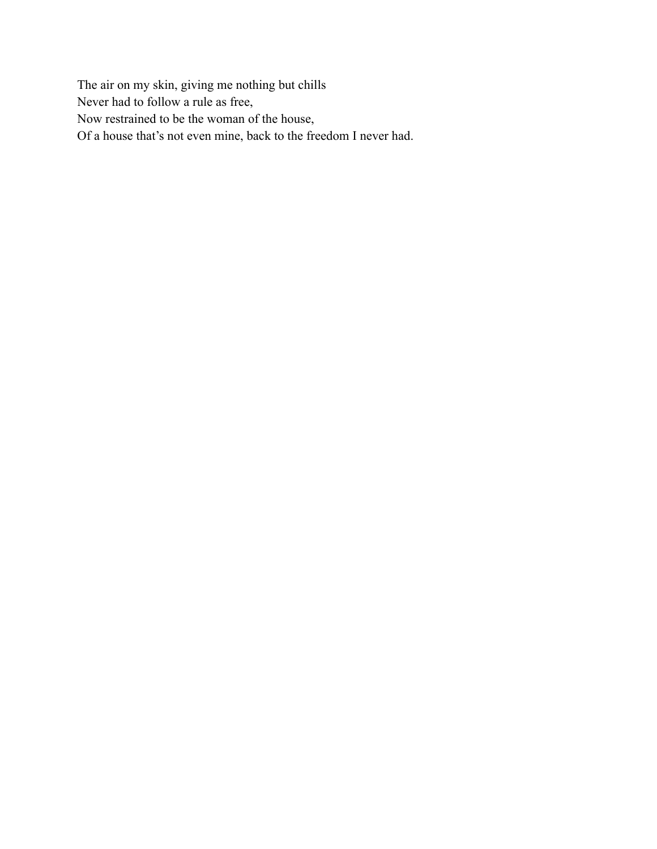The air on my skin, giving me nothing but chills Never had to follow a rule as free, Now restrained to be the woman of the house, Of a house that's not even mine, back to the freedom I never had.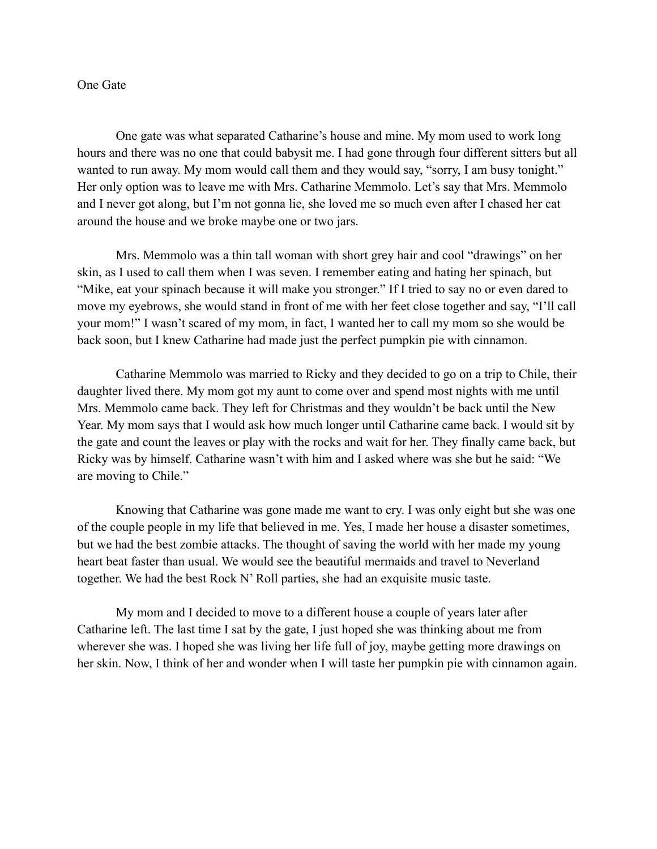#### One Gate

One gate was what separated Catharine's house and mine. My mom used to work long hours and there was no one that could babysit me. I had gone through four different sitters but all wanted to run away. My mom would call them and they would say, "sorry, I am busy tonight." Her only option was to leave me with Mrs. Catharine Memmolo. Let's say that Mrs. Memmolo and I never got along, but I'm not gonna lie, she loved me so much even after I chased her cat around the house and we broke maybe one or two jars.

Mrs. Memmolo was a thin tall woman with short grey hair and cool "drawings" on her skin, as I used to call them when I was seven. I remember eating and hating her spinach, but "Mike, eat your spinach because it will make you stronger." If I tried to say no or even dared to move my eyebrows, she would stand in front of me with her feet close together and say, "I'll call your mom!" I wasn't scared of my mom, in fact, I wanted her to call my mom so she would be back soon, but I knew Catharine had made just the perfect pumpkin pie with cinnamon.

Catharine Memmolo was married to Ricky and they decided to go on a trip to Chile, their daughter lived there. My mom got my aunt to come over and spend most nights with me until Mrs. Memmolo came back. They left for Christmas and they wouldn't be back until the New Year. My mom says that I would ask how much longer until Catharine came back. I would sit by the gate and count the leaves or play with the rocks and wait for her. They finally came back, but Ricky was by himself. Catharine wasn't with him and I asked where was she but he said: "We are moving to Chile."

Knowing that Catharine was gone made me want to cry. I was only eight but she was one of the couple people in my life that believed in me. Yes, I made her house a disaster sometimes, but we had the best zombie attacks. The thought of saving the world with her made my young heart beat faster than usual. We would see the beautiful mermaids and travel to Neverland together. We had the best Rock N' Roll parties, she had an exquisite music taste.

My mom and I decided to move to a different house a couple of years later after Catharine left. The last time I sat by the gate, I just hoped she was thinking about me from wherever she was. I hoped she was living her life full of joy, maybe getting more drawings on her skin. Now, I think of her and wonder when I will taste her pumpkin pie with cinnamon again.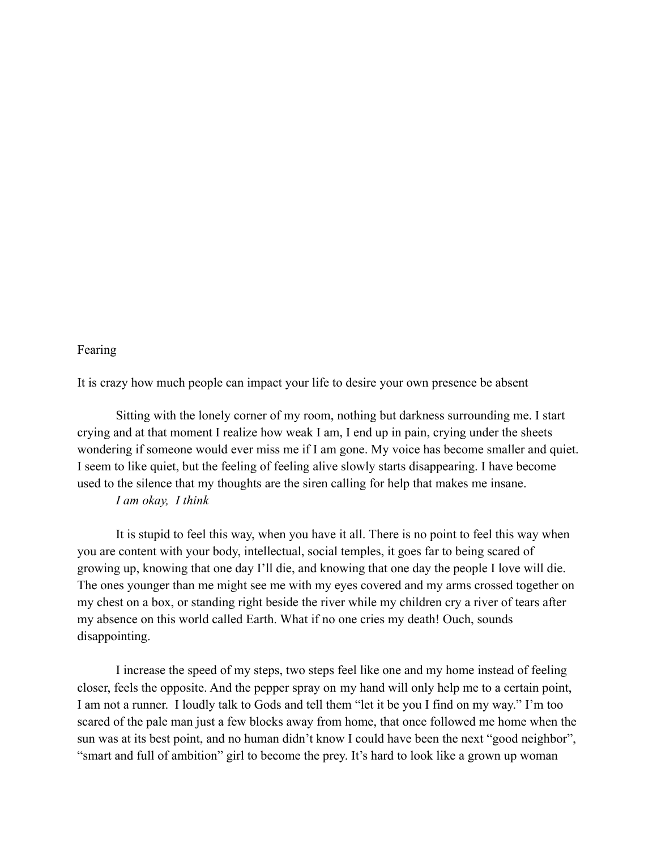## Fearing

It is crazy how much people can impact your life to desire your own presence be absent

Sitting with the lonely corner of my room, nothing but darkness surrounding me. I start crying and at that moment I realize how weak I am, I end up in pain, crying under the sheets wondering if someone would ever miss me if I am gone. My voice has become smaller and quiet. I seem to like quiet, but the feeling of feeling alive slowly starts disappearing. I have become used to the silence that my thoughts are the siren calling for help that makes me insane. *I am okay, I think*

It is stupid to feel this way, when you have it all. There is no point to feel this way when you are content with your body, intellectual, social temples, it goes far to being scared of growing up, knowing that one day I'll die, and knowing that one day the people I love will die. The ones younger than me might see me with my eyes covered and my arms crossed together on my chest on a box, or standing right beside the river while my children cry a river of tears after my absence on this world called Earth. What if no one cries my death! Ouch, sounds disappointing.

I increase the speed of my steps, two steps feel like one and my home instead of feeling closer, feels the opposite. And the pepper spray on my hand will only help me to a certain point, I am not a runner. I loudly talk to Gods and tell them "let it be you I find on my way." I'm too scared of the pale man just a few blocks away from home, that once followed me home when the sun was at its best point, and no human didn't know I could have been the next "good neighbor", "smart and full of ambition" girl to become the prey. It's hard to look like a grown up woman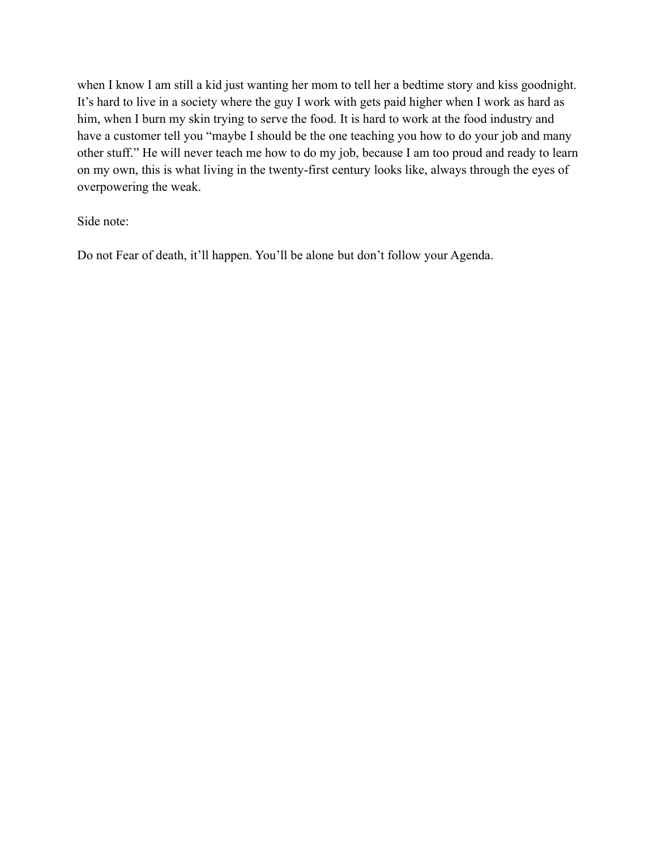when I know I am still a kid just wanting her mom to tell her a bedtime story and kiss goodnight. It's hard to live in a society where the guy I work with gets paid higher when I work as hard as him, when I burn my skin trying to serve the food. It is hard to work at the food industry and have a customer tell you "maybe I should be the one teaching you how to do your job and many other stuff." He will never teach me how to do my job, because I am too proud and ready to learn on my own, this is what living in the twenty-first century looks like, always through the eyes of overpowering the weak.

Side note:

Do not Fear of death, it'll happen. You'll be alone but don't follow your Agenda.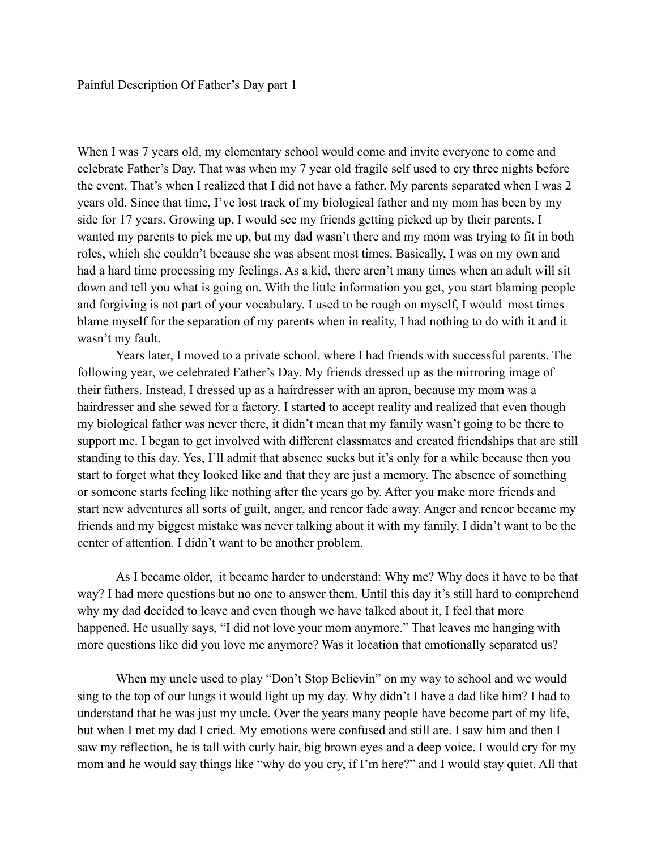When I was 7 years old, my elementary school would come and invite everyone to come and celebrate Father's Day. That was when my 7 year old fragile self used to cry three nights before the event. That's when I realized that I did not have a father. My parents separated when I was 2 years old. Since that time, I've lost track of my biological father and my mom has been by my side for 17 years. Growing up, I would see my friends getting picked up by their parents. I wanted my parents to pick me up, but my dad wasn't there and my mom was trying to fit in both roles, which she couldn't because she was absent most times. Basically, I was on my own and had a hard time processing my feelings. As a kid, there aren't many times when an adult will sit down and tell you what is going on. With the little information you get, you start blaming people and forgiving is not part of your vocabulary. I used to be rough on myself, I would most times blame myself for the separation of my parents when in reality, I had nothing to do with it and it wasn't my fault.

Years later, I moved to a private school, where I had friends with successful parents. The following year, we celebrated Father's Day. My friends dressed up as the mirroring image of their fathers. Instead, I dressed up as a hairdresser with an apron, because my mom was a hairdresser and she sewed for a factory. I started to accept reality and realized that even though my biological father was never there, it didn't mean that my family wasn't going to be there to support me. I began to get involved with different classmates and created friendships that are still standing to this day. Yes, I'll admit that absence sucks but it's only for a while because then you start to forget what they looked like and that they are just a memory. The absence of something or someone starts feeling like nothing after the years go by. After you make more friends and start new adventures all sorts of guilt, anger, and rencor fade away. Anger and rencor became my friends and my biggest mistake was never talking about it with my family, I didn't want to be the center of attention. I didn't want to be another problem.

As I became older, it became harder to understand: Why me? Why does it have to be that way? I had more questions but no one to answer them. Until this day it's still hard to comprehend why my dad decided to leave and even though we have talked about it, I feel that more happened. He usually says, "I did not love your mom anymore." That leaves me hanging with more questions like did you love me anymore? Was it location that emotionally separated us?

When my uncle used to play "Don't Stop Believin" on my way to school and we would sing to the top of our lungs it would light up my day. Why didn't I have a dad like him? I had to understand that he was just my uncle. Over the years many people have become part of my life, but when I met my dad I cried. My emotions were confused and still are. I saw him and then I saw my reflection, he is tall with curly hair, big brown eyes and a deep voice. I would cry for my mom and he would say things like "why do you cry, if I'm here?" and I would stay quiet. All that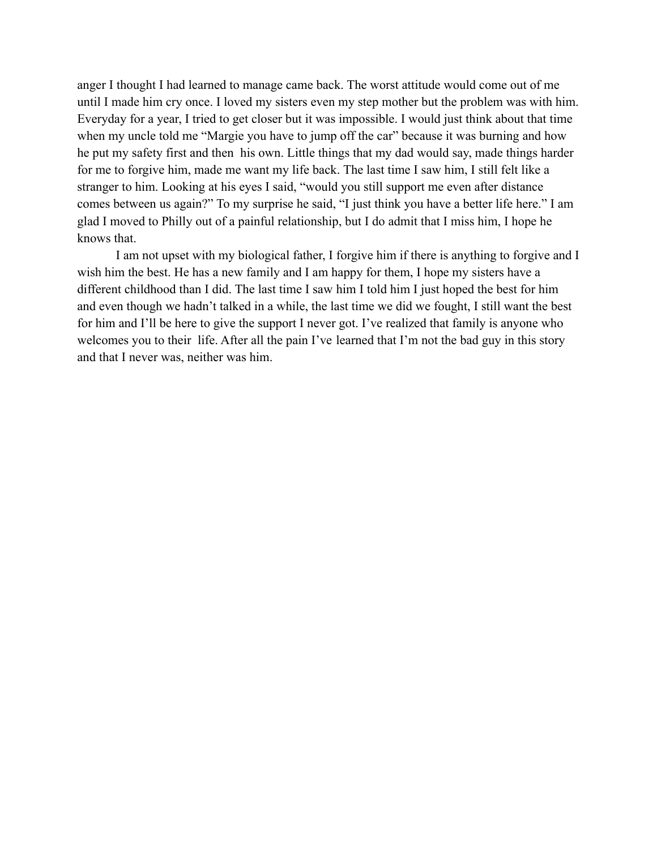anger I thought I had learned to manage came back. The worst attitude would come out of me until I made him cry once. I loved my sisters even my step mother but the problem was with him. Everyday for a year, I tried to get closer but it was impossible. I would just think about that time when my uncle told me "Margie you have to jump off the car" because it was burning and how he put my safety first and then his own. Little things that my dad would say, made things harder for me to forgive him, made me want my life back. The last time I saw him, I still felt like a stranger to him. Looking at his eyes I said, "would you still support me even after distance comes between us again?" To my surprise he said, "I just think you have a better life here." I am glad I moved to Philly out of a painful relationship, but I do admit that I miss him, I hope he knows that.

I am not upset with my biological father, I forgive him if there is anything to forgive and I wish him the best. He has a new family and I am happy for them, I hope my sisters have a different childhood than I did. The last time I saw him I told him I just hoped the best for him and even though we hadn't talked in a while, the last time we did we fought, I still want the best for him and I'll be here to give the support I never got. I've realized that family is anyone who welcomes you to their life. After all the pain I've learned that I'm not the bad guy in this story and that I never was, neither was him.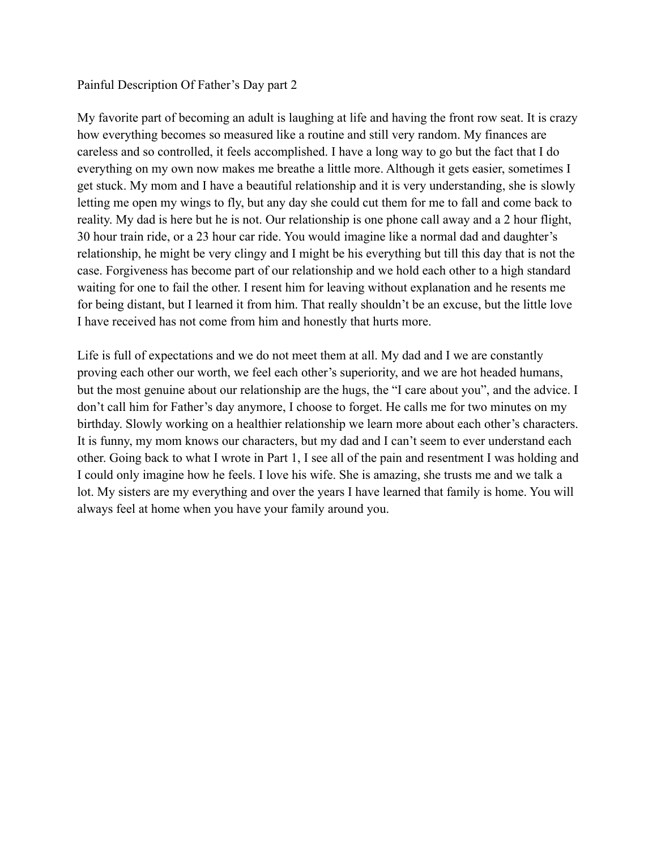## Painful Description Of Father's Day part 2

My favorite part of becoming an adult is laughing at life and having the front row seat. It is crazy how everything becomes so measured like a routine and still very random. My finances are careless and so controlled, it feels accomplished. I have a long way to go but the fact that I do everything on my own now makes me breathe a little more. Although it gets easier, sometimes I get stuck. My mom and I have a beautiful relationship and it is very understanding, she is slowly letting me open my wings to fly, but any day she could cut them for me to fall and come back to reality. My dad is here but he is not. Our relationship is one phone call away and a 2 hour flight, 30 hour train ride, or a 23 hour car ride. You would imagine like a normal dad and daughter's relationship, he might be very clingy and I might be his everything but till this day that is not the case. Forgiveness has become part of our relationship and we hold each other to a high standard waiting for one to fail the other. I resent him for leaving without explanation and he resents me for being distant, but I learned it from him. That really shouldn't be an excuse, but the little love I have received has not come from him and honestly that hurts more.

Life is full of expectations and we do not meet them at all. My dad and I we are constantly proving each other our worth, we feel each other's superiority, and we are hot headed humans, but the most genuine about our relationship are the hugs, the "I care about you", and the advice. I don't call him for Father's day anymore, I choose to forget. He calls me for two minutes on my birthday. Slowly working on a healthier relationship we learn more about each other's characters. It is funny, my mom knows our characters, but my dad and I can't seem to ever understand each other. Going back to what I wrote in Part 1, I see all of the pain and resentment I was holding and I could only imagine how he feels. I love his wife. She is amazing, she trusts me and we talk a lot. My sisters are my everything and over the years I have learned that family is home. You will always feel at home when you have your family around you.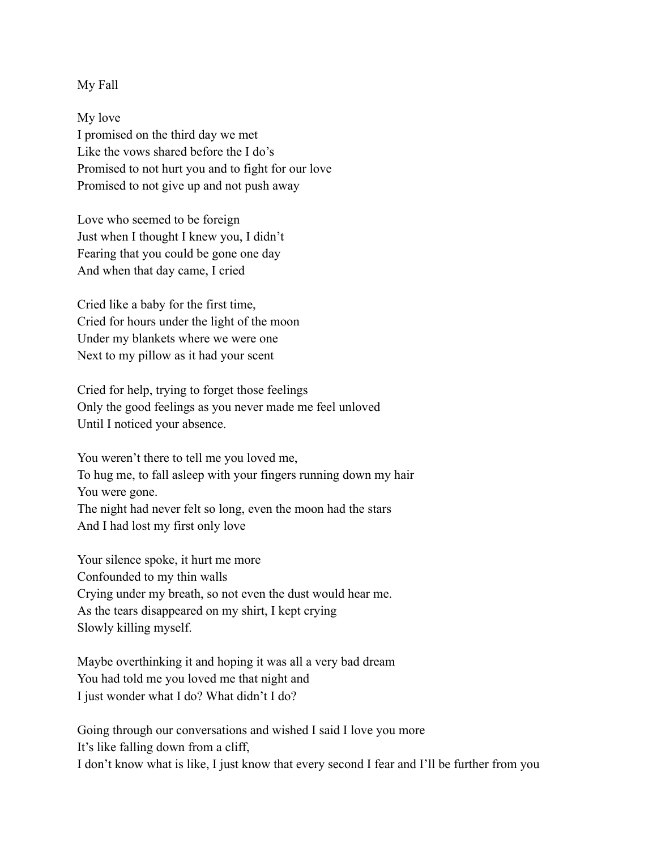My Fall

My love I promised on the third day we met Like the vows shared before the I do's Promised to not hurt you and to fight for our love Promised to not give up and not push away

Love who seemed to be foreign Just when I thought I knew you, I didn't Fearing that you could be gone one day And when that day came, I cried

Cried like a baby for the first time, Cried for hours under the light of the moon Under my blankets where we were one Next to my pillow as it had your scent

Cried for help, trying to forget those feelings Only the good feelings as you never made me feel unloved Until I noticed your absence.

You weren't there to tell me you loved me, To hug me, to fall asleep with your fingers running down my hair You were gone. The night had never felt so long, even the moon had the stars And I had lost my first only love

Your silence spoke, it hurt me more Confounded to my thin walls Crying under my breath, so not even the dust would hear me. As the tears disappeared on my shirt, I kept crying Slowly killing myself.

Maybe overthinking it and hoping it was all a very bad dream You had told me you loved me that night and I just wonder what I do? What didn't I do?

Going through our conversations and wished I said I love you more It's like falling down from a cliff, I don't know what is like, I just know that every second I fear and I'll be further from you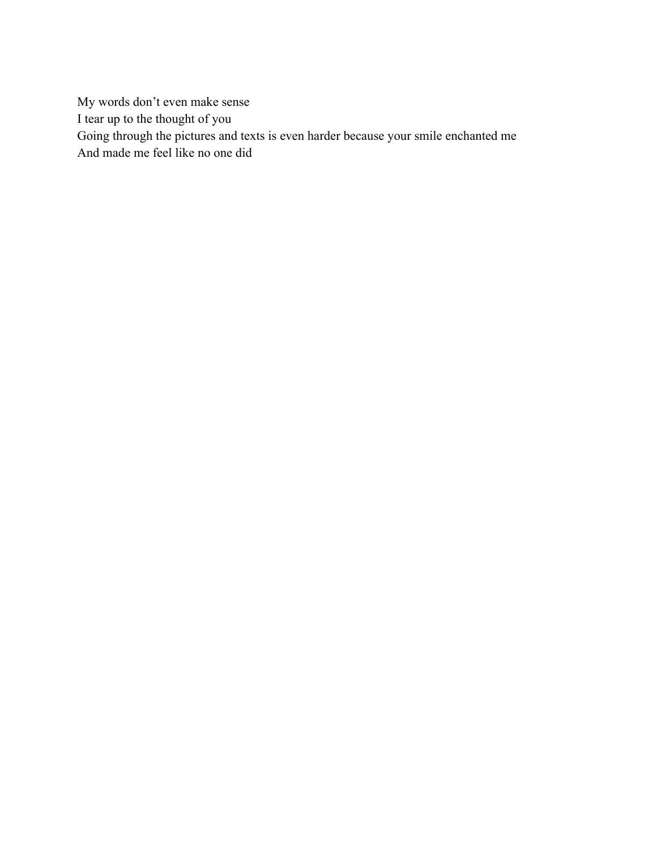My words don't even make sense I tear up to the thought of you Going through the pictures and texts is even harder because your smile enchanted me And made me feel like no one did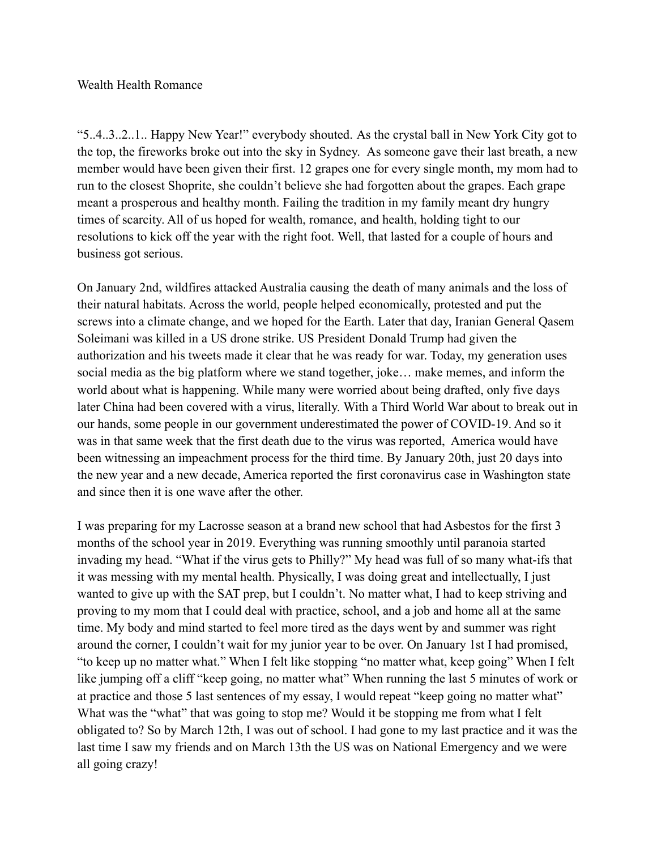# Wealth Health Romance

"5..4..3..2..1.. Happy New Year!" everybody shouted. As the crystal ball in New York City got to the top, the fireworks broke out into the sky in Sydney. As someone gave their last breath, a new member would have been given their first. 12 grapes one for every single month, my mom had to run to the closest Shoprite, she couldn't believe she had forgotten about the grapes. Each grape meant a prosperous and healthy month. Failing the tradition in my family meant dry hungry times of scarcity. All of us hoped for wealth, romance, and health, holding tight to our resolutions to kick off the year with the right foot. Well, that lasted for a couple of hours and business got serious.

On January 2nd, wildfires attacked Australia causing the death of many animals and the loss of their natural habitats. Across the world, people helped economically, protested and put the screws into a climate change, and we hoped for the Earth. Later that day, Iranian General Qasem Soleimani was killed in a US drone strike. US President Donald Trump had given the authorization and his tweets made it clear that he was ready for war. Today, my generation uses social media as the big platform where we stand together, joke… make memes, and inform the world about what is happening. While many were worried about being drafted, only five days later China had been covered with a virus, literally. With a Third World War about to break out in our hands, some people in our government underestimated the power of COVID-19. And so it was in that same week that the first death due to the virus was reported, America would have been witnessing an impeachment process for the third time. By January 20th, just 20 days into the new year and a new decade, America reported the first coronavirus case in Washington state and since then it is one wave after the other.

I was preparing for my Lacrosse season at a brand new school that had Asbestos for the first 3 months of the school year in 2019. Everything was running smoothly until paranoia started invading my head. "What if the virus gets to Philly?" My head was full of so many what-ifs that it was messing with my mental health. Physically, I was doing great and intellectually, I just wanted to give up with the SAT prep, but I couldn't. No matter what, I had to keep striving and proving to my mom that I could deal with practice, school, and a job and home all at the same time. My body and mind started to feel more tired as the days went by and summer was right around the corner, I couldn't wait for my junior year to be over. On January 1st I had promised, "to keep up no matter what." When I felt like stopping "no matter what, keep going" When I felt like jumping off a cliff "keep going, no matter what" When running the last 5 minutes of work or at practice and those 5 last sentences of my essay, I would repeat "keep going no matter what" What was the "what" that was going to stop me? Would it be stopping me from what I felt obligated to? So by March 12th, I was out of school. I had gone to my last practice and it was the last time I saw my friends and on March 13th the US was on National Emergency and we were all going crazy!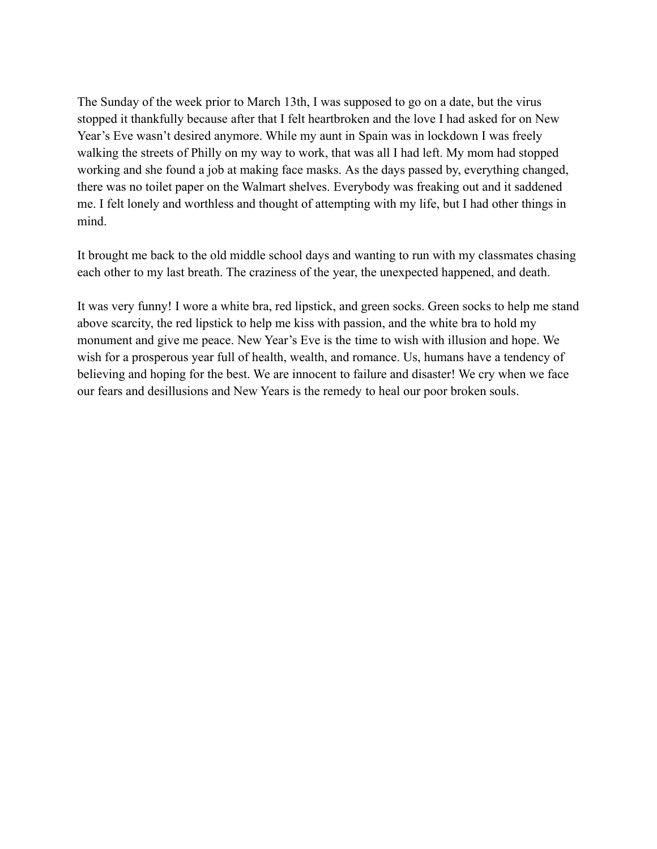The Sunday of the week prior to March 13th, I was supposed to go on a date, but the virus stopped it thankfully because after that I felt heartbroken and the love I had asked for on New Year's Eve wasn't desired anymore. While my aunt in Spain was in lockdown I was freely walking the streets of Philly on my way to work, that was all I had left. My mom had stopped working and she found a job at making face masks. As the days passed by, everything changed, there was no toilet paper on the Walmart shelves. Everybody was freaking out and it saddened me. I felt lonely and worthless and thought of attempting with my life, but I had other things in mind.

It brought me back to the old middle school days and wanting to run with my classmates chasing each other to my last breath. The craziness of the year, the unexpected happened, and death.

It was very funny! I wore a white bra, red lipstick, and green socks. Green socks to help me stand above scarcity, the red lipstick to help me kiss with passion, and the white bra to hold my monument and give me peace. New Year's Eve is the time to wish with illusion and hope. We wish for a prosperous year full of health, wealth, and romance. Us, humans have a tendency of believing and hoping for the best. We are innocent to failure and disaster! We cry when we face our fears and desillusions and New Years is the remedy to heal our poor broken souls.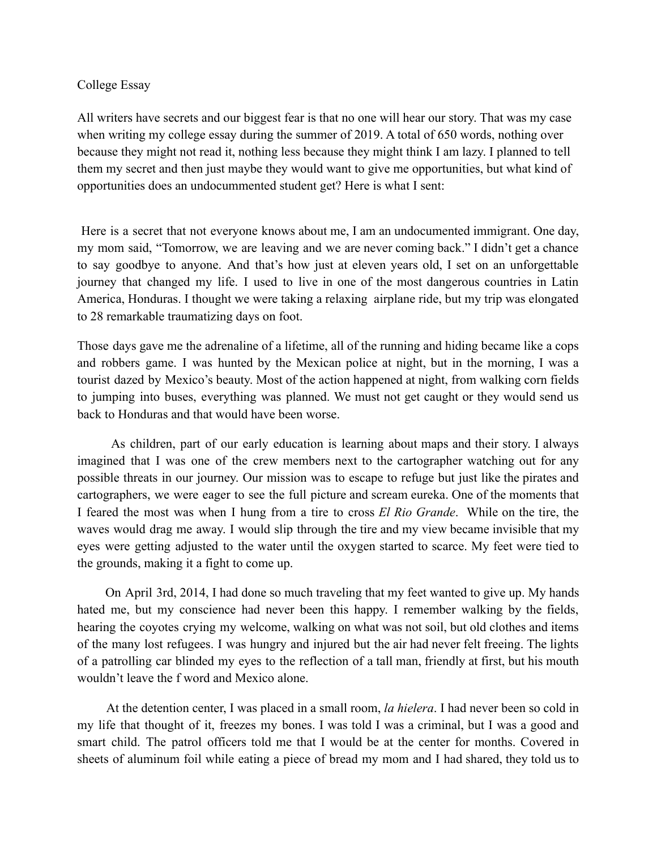## College Essay

All writers have secrets and our biggest fear is that no one will hear our story. That was my case when writing my college essay during the summer of 2019. A total of 650 words, nothing over because they might not read it, nothing less because they might think I am lazy. I planned to tell them my secret and then just maybe they would want to give me opportunities, but what kind of opportunities does an undocummented student get? Here is what I sent:

Here is a secret that not everyone knows about me, I am an undocumented immigrant. One day, my mom said, "Tomorrow, we are leaving and we are never coming back." I didn't get a chance to say goodbye to anyone. And that's how just at eleven years old, I set on an unforgettable journey that changed my life. I used to live in one of the most dangerous countries in Latin America, Honduras. I thought we were taking a relaxing airplane ride, but my trip was elongated to 28 remarkable traumatizing days on foot.

Those days gave me the adrenaline of a lifetime, all of the running and hiding became like a cops and robbers game. I was hunted by the Mexican police at night, but in the morning, I was a tourist dazed by Mexico's beauty. Most of the action happened at night, from walking corn fields to jumping into buses, everything was planned. We must not get caught or they would send us back to Honduras and that would have been worse.

As children, part of our early education is learning about maps and their story. I always imagined that I was one of the crew members next to the cartographer watching out for any possible threats in our journey. Our mission was to escape to refuge but just like the pirates and cartographers, we were eager to see the full picture and scream eureka. One of the moments that I feared the most was when I hung from a tire to cross *El Rio Grande*. While on the tire, the waves would drag me away. I would slip through the tire and my view became invisible that my eyes were getting adjusted to the water until the oxygen started to scarce. My feet were tied to the grounds, making it a fight to come up.

On April 3rd, 2014, I had done so much traveling that my feet wanted to give up. My hands hated me, but my conscience had never been this happy. I remember walking by the fields, hearing the coyotes crying my welcome, walking on what was not soil, but old clothes and items of the many lost refugees. I was hungry and injured but the air had never felt freeing. The lights of a patrolling car blinded my eyes to the reflection of a tall man, friendly at first, but his mouth wouldn't leave the f word and Mexico alone.

At the detention center, I was placed in a small room, *la hielera*. I had never been so cold in my life that thought of it, freezes my bones. I was told I was a criminal, but I was a good and smart child. The patrol officers told me that I would be at the center for months. Covered in sheets of aluminum foil while eating a piece of bread my mom and I had shared, they told us to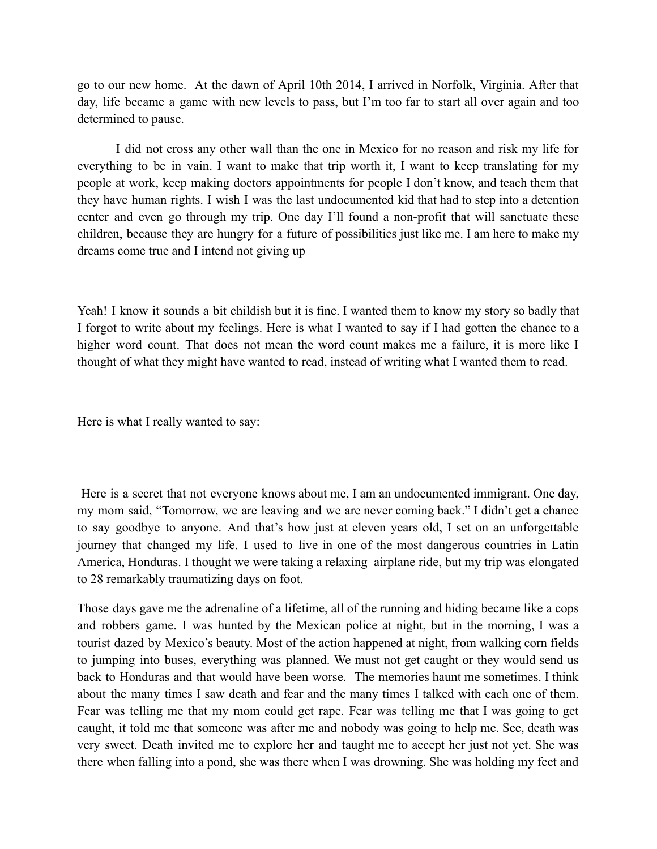go to our new home. At the dawn of April 10th 2014, I arrived in Norfolk, Virginia. After that day, life became a game with new levels to pass, but I'm too far to start all over again and too determined to pause.

I did not cross any other wall than the one in Mexico for no reason and risk my life for everything to be in vain. I want to make that trip worth it, I want to keep translating for my people at work, keep making doctors appointments for people I don't know, and teach them that they have human rights. I wish I was the last undocumented kid that had to step into a detention center and even go through my trip. One day I'll found a non-profit that will sanctuate these children, because they are hungry for a future of possibilities just like me. I am here to make my dreams come true and I intend not giving up

Yeah! I know it sounds a bit childish but it is fine. I wanted them to know my story so badly that I forgot to write about my feelings. Here is what I wanted to say if I had gotten the chance to a higher word count. That does not mean the word count makes me a failure, it is more like I thought of what they might have wanted to read, instead of writing what I wanted them to read.

Here is what I really wanted to say:

Here is a secret that not everyone knows about me, I am an undocumented immigrant. One day, my mom said, "Tomorrow, we are leaving and we are never coming back." I didn't get a chance to say goodbye to anyone. And that's how just at eleven years old, I set on an unforgettable journey that changed my life. I used to live in one of the most dangerous countries in Latin America, Honduras. I thought we were taking a relaxing airplane ride, but my trip was elongated to 28 remarkably traumatizing days on foot.

Those days gave me the adrenaline of a lifetime, all of the running and hiding became like a cops and robbers game. I was hunted by the Mexican police at night, but in the morning, I was a tourist dazed by Mexico's beauty. Most of the action happened at night, from walking corn fields to jumping into buses, everything was planned. We must not get caught or they would send us back to Honduras and that would have been worse. The memories haunt me sometimes. I think about the many times I saw death and fear and the many times I talked with each one of them. Fear was telling me that my mom could get rape. Fear was telling me that I was going to get caught, it told me that someone was after me and nobody was going to help me. See, death was very sweet. Death invited me to explore her and taught me to accept her just not yet. She was there when falling into a pond, she was there when I was drowning. She was holding my feet and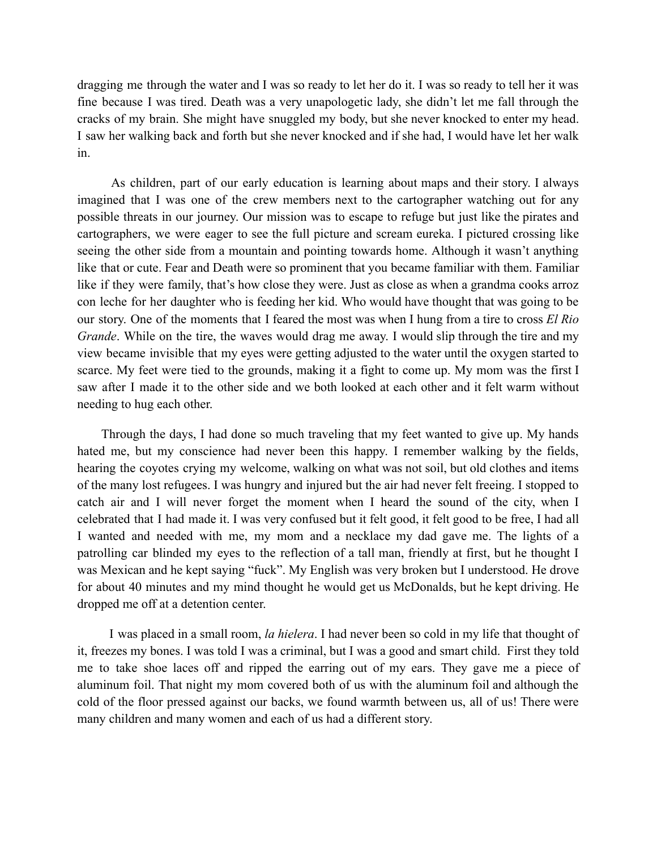dragging me through the water and I was so ready to let her do it. I was so ready to tell her it was fine because I was tired. Death was a very unapologetic lady, she didn't let me fall through the cracks of my brain. She might have snuggled my body, but she never knocked to enter my head. I saw her walking back and forth but she never knocked and if she had, I would have let her walk in.

As children, part of our early education is learning about maps and their story. I always imagined that I was one of the crew members next to the cartographer watching out for any possible threats in our journey. Our mission was to escape to refuge but just like the pirates and cartographers, we were eager to see the full picture and scream eureka. I pictured crossing like seeing the other side from a mountain and pointing towards home. Although it wasn't anything like that or cute. Fear and Death were so prominent that you became familiar with them. Familiar like if they were family, that's how close they were. Just as close as when a grandma cooks arroz con leche for her daughter who is feeding her kid. Who would have thought that was going to be our story. One of the moments that I feared the most was when I hung from a tire to cross *El Rio Grande*. While on the tire, the waves would drag me away. I would slip through the tire and my view became invisible that my eyes were getting adjusted to the water until the oxygen started to scarce. My feet were tied to the grounds, making it a fight to come up. My mom was the first I saw after I made it to the other side and we both looked at each other and it felt warm without needing to hug each other.

Through the days, I had done so much traveling that my feet wanted to give up. My hands hated me, but my conscience had never been this happy. I remember walking by the fields, hearing the coyotes crying my welcome, walking on what was not soil, but old clothes and items of the many lost refugees. I was hungry and injured but the air had never felt freeing. I stopped to catch air and I will never forget the moment when I heard the sound of the city, when I celebrated that I had made it. I was very confused but it felt good, it felt good to be free, I had all I wanted and needed with me, my mom and a necklace my dad gave me. The lights of a patrolling car blinded my eyes to the reflection of a tall man, friendly at first, but he thought I was Mexican and he kept saying "fuck". My English was very broken but I understood. He drove for about 40 minutes and my mind thought he would get us McDonalds, but he kept driving. He dropped me off at a detention center.

I was placed in a small room, *la hielera*. I had never been so cold in my life that thought of it, freezes my bones. I was told I was a criminal, but I was a good and smart child. First they told me to take shoe laces off and ripped the earring out of my ears. They gave me a piece of aluminum foil. That night my mom covered both of us with the aluminum foil and although the cold of the floor pressed against our backs, we found warmth between us, all of us! There were many children and many women and each of us had a different story.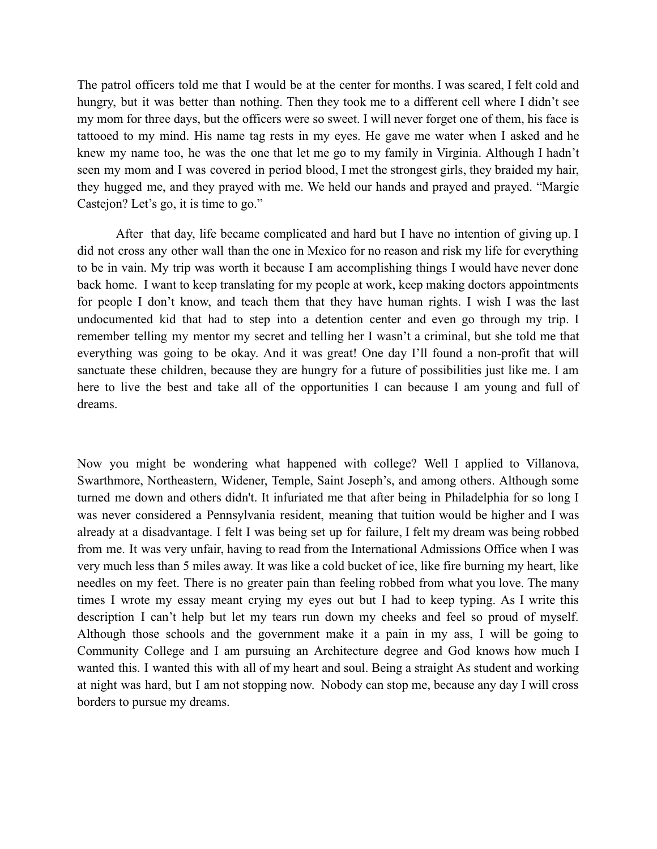The patrol officers told me that I would be at the center for months. I was scared, I felt cold and hungry, but it was better than nothing. Then they took me to a different cell where I didn't see my mom for three days, but the officers were so sweet. I will never forget one of them, his face is tattooed to my mind. His name tag rests in my eyes. He gave me water when I asked and he knew my name too, he was the one that let me go to my family in Virginia. Although I hadn't seen my mom and I was covered in period blood, I met the strongest girls, they braided my hair, they hugged me, and they prayed with me. We held our hands and prayed and prayed. "Margie Castejon? Let's go, it is time to go."

After that day, life became complicated and hard but I have no intention of giving up. I did not cross any other wall than the one in Mexico for no reason and risk my life for everything to be in vain. My trip was worth it because I am accomplishing things I would have never done back home. I want to keep translating for my people at work, keep making doctors appointments for people I don't know, and teach them that they have human rights. I wish I was the last undocumented kid that had to step into a detention center and even go through my trip. I remember telling my mentor my secret and telling her I wasn't a criminal, but she told me that everything was going to be okay. And it was great! One day I'll found a non-profit that will sanctuate these children, because they are hungry for a future of possibilities just like me. I am here to live the best and take all of the opportunities I can because I am young and full of dreams.

Now you might be wondering what happened with college? Well I applied to Villanova, Swarthmore, Northeastern, Widener, Temple, Saint Joseph's, and among others. Although some turned me down and others didn't. It infuriated me that after being in Philadelphia for so long I was never considered a Pennsylvania resident, meaning that tuition would be higher and I was already at a disadvantage. I felt I was being set up for failure, I felt my dream was being robbed from me. It was very unfair, having to read from the International Admissions Office when I was very much less than 5 miles away. It was like a cold bucket of ice, like fire burning my heart, like needles on my feet. There is no greater pain than feeling robbed from what you love. The many times I wrote my essay meant crying my eyes out but I had to keep typing. As I write this description I can't help but let my tears run down my cheeks and feel so proud of myself. Although those schools and the government make it a pain in my ass, I will be going to Community College and I am pursuing an Architecture degree and God knows how much I wanted this. I wanted this with all of my heart and soul. Being a straight As student and working at night was hard, but I am not stopping now. Nobody can stop me, because any day I will cross borders to pursue my dreams.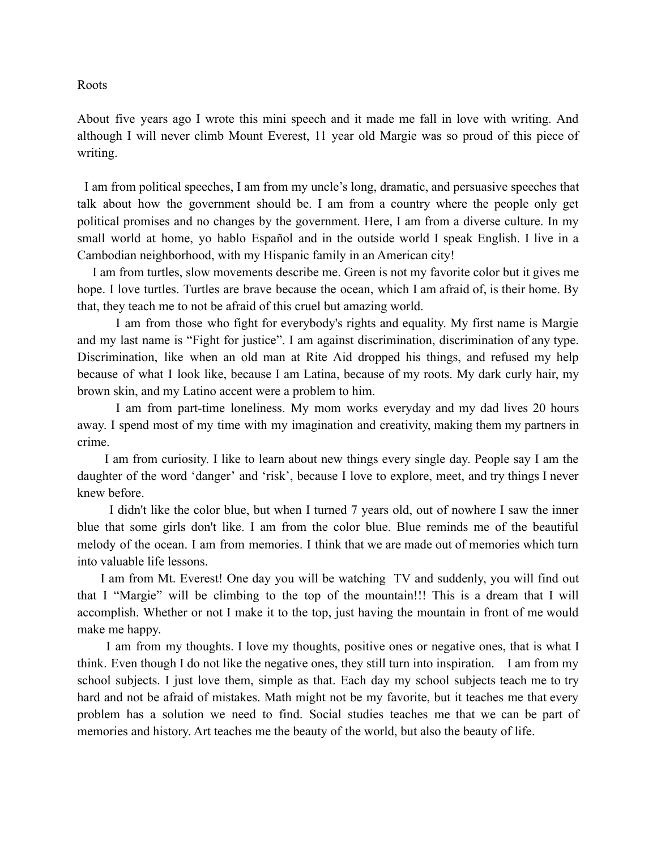Roots

About five years ago I wrote this mini speech and it made me fall in love with writing. And although I will never climb Mount Everest, 11 year old Margie was so proud of this piece of writing.

I am from political speeches, I am from my uncle's long, dramatic, and persuasive speeches that talk about how the government should be. I am from a country where the people only get political promises and no changes by the government. Here, I am from a diverse culture. In my small world at home, yo hablo Español and in the outside world I speak English. I live in a Cambodian neighborhood, with my Hispanic family in an American city!

I am from turtles, slow movements describe me. Green is not my favorite color but it gives me hope. I love turtles. Turtles are brave because the ocean, which I am afraid of, is their home. By that, they teach me to not be afraid of this cruel but amazing world.

I am from those who fight for everybody's rights and equality. My first name is Margie and my last name is "Fight for justice". I am against discrimination, discrimination of any type. Discrimination, like when an old man at Rite Aid dropped his things, and refused my help because of what I look like, because I am Latina, because of my roots. My dark curly hair, my brown skin, and my Latino accent were a problem to him.

I am from part-time loneliness. My mom works everyday and my dad lives 20 hours away. I spend most of my time with my imagination and creativity, making them my partners in crime.

I am from curiosity. I like to learn about new things every single day. People say I am the daughter of the word 'danger' and 'risk', because I love to explore, meet, and try things I never knew before.

I didn't like the color blue, but when I turned 7 years old, out of nowhere I saw the inner blue that some girls don't like. I am from the color blue. Blue reminds me of the beautiful melody of the ocean. I am from memories. I think that we are made out of memories which turn into valuable life lessons.

I am from Mt. Everest! One day you will be watching TV and suddenly, you will find out that I "Margie" will be climbing to the top of the mountain!!! This is a dream that I will accomplish. Whether or not I make it to the top, just having the mountain in front of me would make me happy.

I am from my thoughts. I love my thoughts, positive ones or negative ones, that is what I think. Even though I do not like the negative ones, they still turn into inspiration. I am from my school subjects. I just love them, simple as that. Each day my school subjects teach me to try hard and not be afraid of mistakes. Math might not be my favorite, but it teaches me that every problem has a solution we need to find. Social studies teaches me that we can be part of memories and history. Art teaches me the beauty of the world, but also the beauty of life.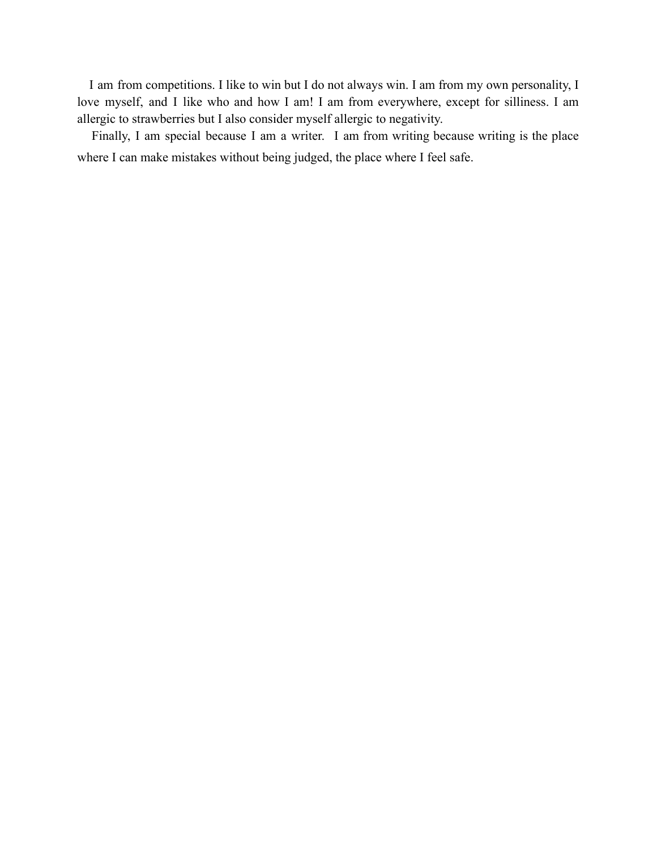I am from competitions. I like to win but I do not always win. I am from my own personality, I love myself, and I like who and how I am! I am from everywhere, except for silliness. I am allergic to strawberries but I also consider myself allergic to negativity.

Finally, I am special because I am a writer. I am from writing because writing is the place where I can make mistakes without being judged, the place where I feel safe.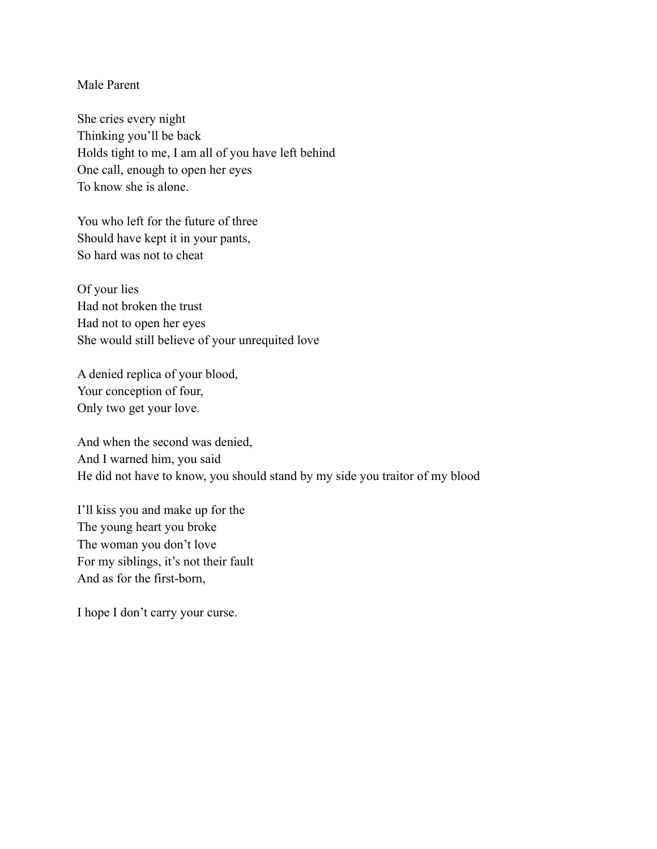## Male Parent

She cries every night Thinking you'll be back Holds tight to me, I am all of you have left behind One call, enough to open her eyes To know she is alone.

You who left for the future of three Should have kept it in your pants, So hard was not to cheat

Of your lies Had not broken the trust Had not to open her eyes She would still believe of your unrequited love

A denied replica of your blood, Your conception of four, Only two get your love.

And when the second was denied, And I warned him, you said He did not have to know, you should stand by my side you traitor of my blood

I'll kiss you and make up for the The young heart you broke The woman you don't love For my siblings, it's not their fault And as for the first-born,

I hope I don't carry your curse.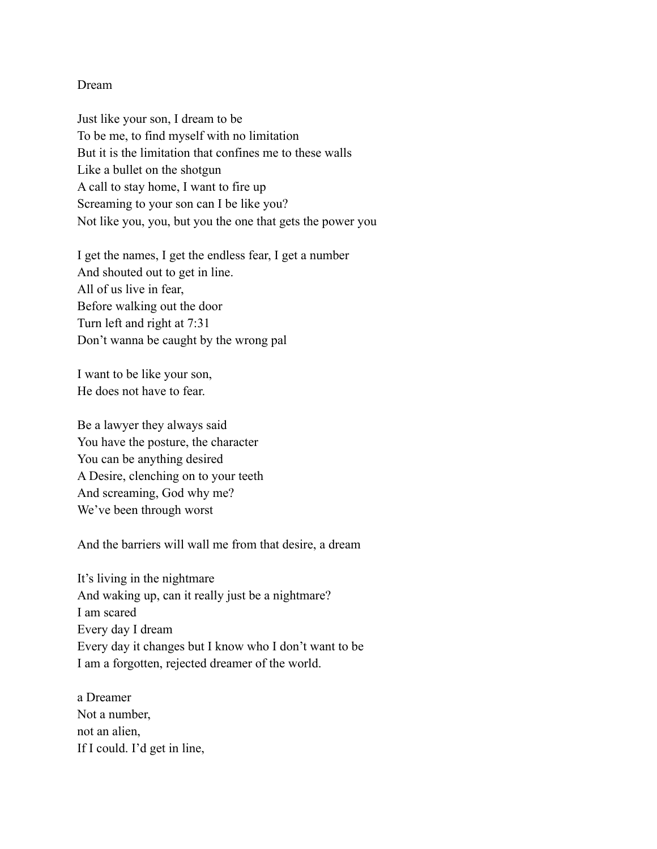## Dream

Just like your son, I dream to be To be me, to find myself with no limitation But it is the limitation that confines me to these walls Like a bullet on the shotgun A call to stay home, I want to fire up Screaming to your son can I be like you? Not like you, you, but you the one that gets the power you

I get the names, I get the endless fear, I get a number And shouted out to get in line. All of us live in fear, Before walking out the door Turn left and right at 7:31 Don't wanna be caught by the wrong pal

I want to be like your son, He does not have to fear.

Be a lawyer they always said You have the posture, the character You can be anything desired A Desire, clenching on to your teeth And screaming, God why me? We've been through worst

And the barriers will wall me from that desire, a dream

It's living in the nightmare And waking up, can it really just be a nightmare? I am scared Every day I dream Every day it changes but I know who I don't want to be I am a forgotten, rejected dreamer of the world.

a Dreamer Not a number, not an alien, If I could. I'd get in line,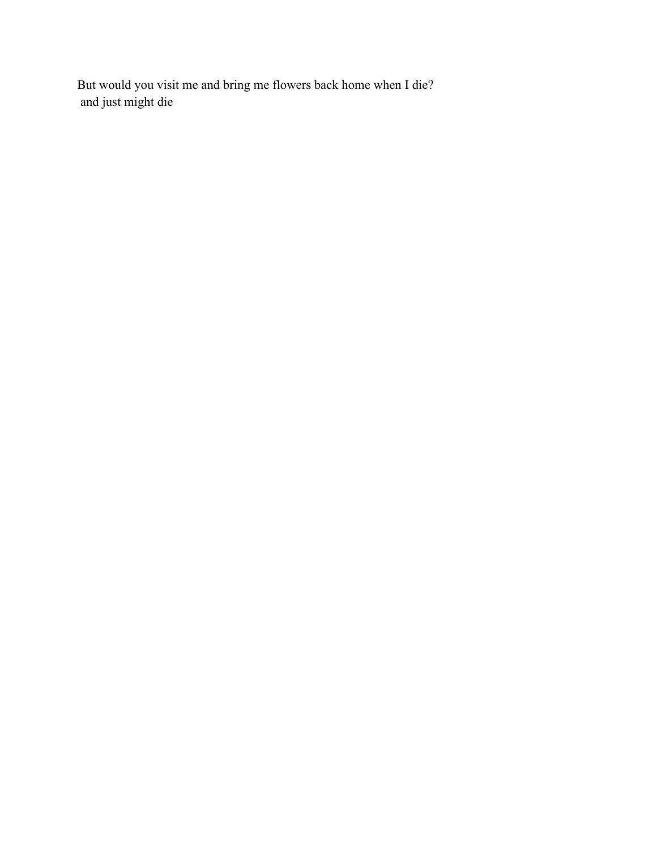But would you visit me and bring me flowers back home when I die? and just might die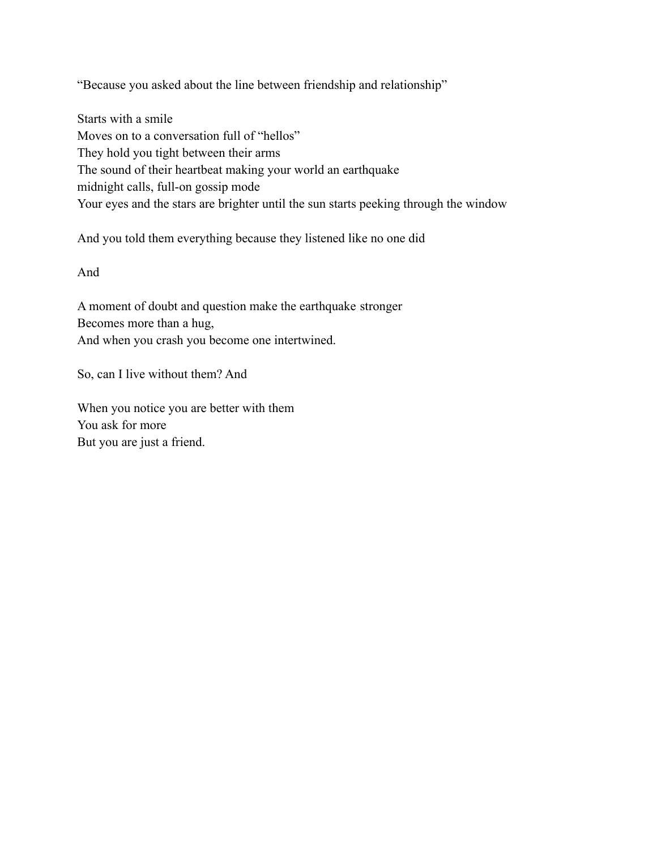"Because you asked about the line between friendship and relationship"

Starts with a smile Moves on to a conversation full of "hellos" They hold you tight between their arms The sound of their heartbeat making your world an earthquake midnight calls, full-on gossip mode Your eyes and the stars are brighter until the sun starts peeking through the window

And you told them everything because they listened like no one did

And

A moment of doubt and question make the earthquake stronger Becomes more than a hug, And when you crash you become one intertwined.

So, can I live without them? And

When you notice you are better with them You ask for more But you are just a friend.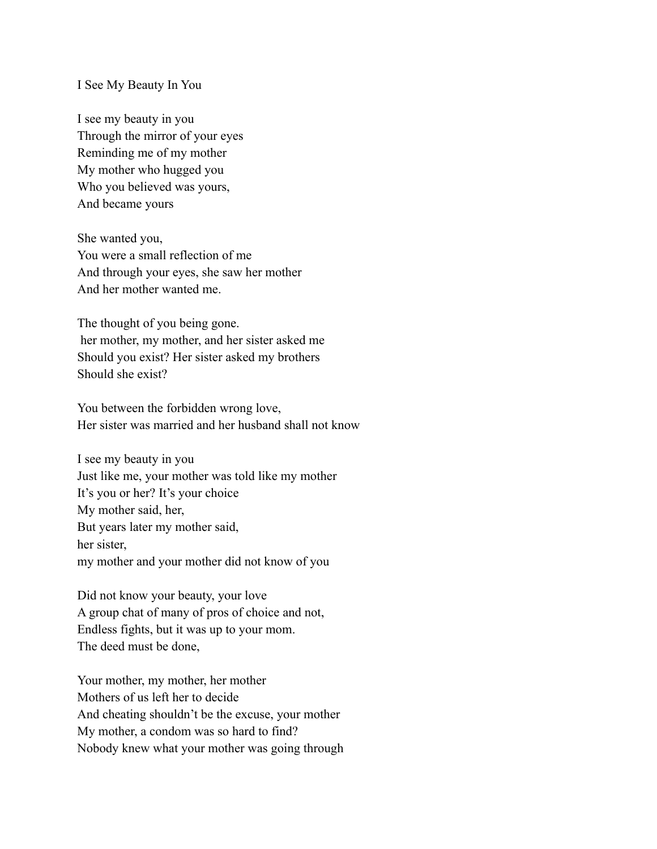#### I See My Beauty In You

I see my beauty in you Through the mirror of your eyes Reminding me of my mother My mother who hugged you Who you believed was yours, And became yours

She wanted you, You were a small reflection of me And through your eyes, she saw her mother And her mother wanted me.

The thought of you being gone. her mother, my mother, and her sister asked me Should you exist? Her sister asked my brothers Should she exist?

You between the forbidden wrong love, Her sister was married and her husband shall not know

I see my beauty in you Just like me, your mother was told like my mother It's you or her? It's your choice My mother said, her, But years later my mother said, her sister, my mother and your mother did not know of you

Did not know your beauty, your love A group chat of many of pros of choice and not, Endless fights, but it was up to your mom. The deed must be done,

Your mother, my mother, her mother Mothers of us left her to decide And cheating shouldn't be the excuse, your mother My mother, a condom was so hard to find? Nobody knew what your mother was going through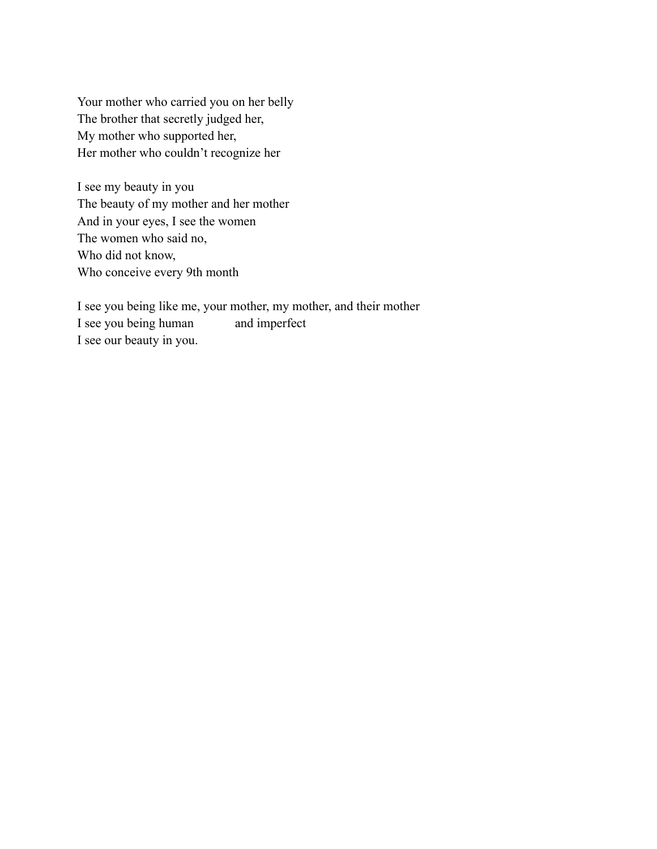Your mother who carried you on her belly The brother that secretly judged her, My mother who supported her, Her mother who couldn't recognize her

I see my beauty in you The beauty of my mother and her mother And in your eyes, I see the women The women who said no, Who did not know, Who conceive every 9th month

I see you being like me, your mother, my mother, and their mother I see you being human and imperfect I see our beauty in you.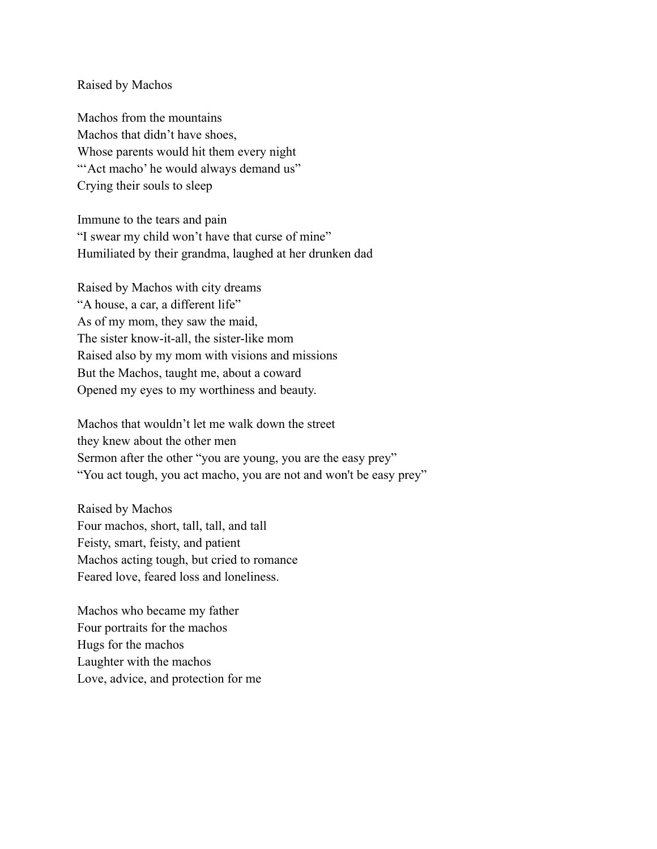#### Raised by Machos

Machos from the mountains Machos that didn't have shoes, Whose parents would hit them every night "Act macho' he would always demand us" Crying their souls to sleep

Immune to the tears and pain "I swear my child won't have that curse of mine" Humiliated by their grandma, laughed at her drunken dad

Raised by Machos with city dreams "A house, a car, a different life" As of my mom, they saw the maid, The sister know-it-all, the sister-like mom Raised also by my mom with visions and missions But the Machos, taught me, about a coward Opened my eyes to my worthiness and beauty.

Machos that wouldn't let me walk down the street they knew about the other men Sermon after the other "you are young, you are the easy prey" "You act tough, you act macho, you are not and won't be easy prey"

Raised by Machos Four machos, short, tall, tall, and tall Feisty, smart, feisty, and patient Machos acting tough, but cried to romance Feared love, feared loss and loneliness.

Machos who became my father Four portraits for the machos Hugs for the machos Laughter with the machos Love, advice, and protection for me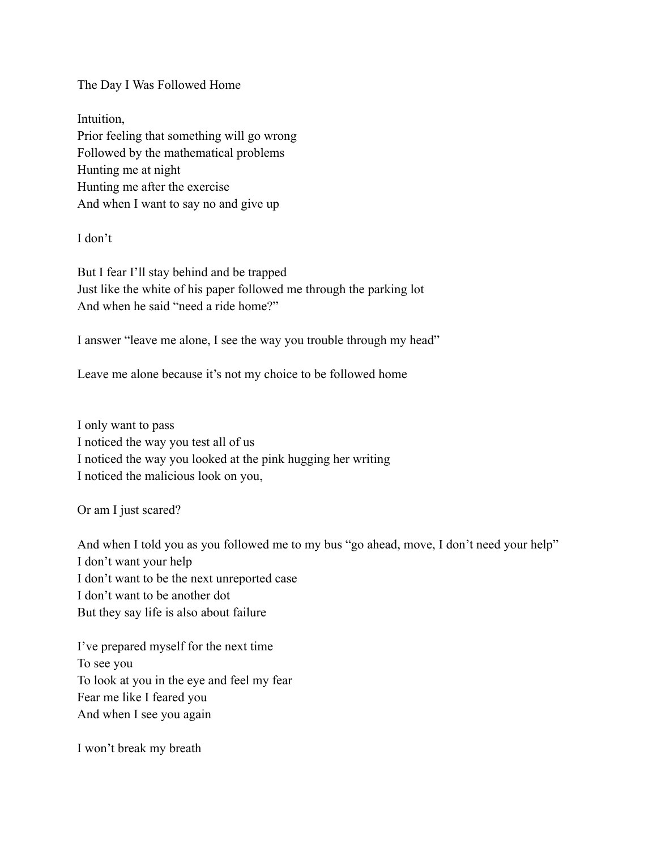The Day I Was Followed Home

Intuition, Prior feeling that something will go wrong Followed by the mathematical problems Hunting me at night Hunting me after the exercise And when I want to say no and give up

I don't

But I fear I'll stay behind and be trapped Just like the white of his paper followed me through the parking lot And when he said "need a ride home?"

I answer "leave me alone, I see the way you trouble through my head"

Leave me alone because it's not my choice to be followed home

I only want to pass I noticed the way you test all of us I noticed the way you looked at the pink hugging her writing I noticed the malicious look on you,

Or am I just scared?

And when I told you as you followed me to my bus "go ahead, move, I don't need your help" I don't want your help I don't want to be the next unreported case I don't want to be another dot But they say life is also about failure

I've prepared myself for the next time To see you To look at you in the eye and feel my fear Fear me like I feared you And when I see you again

I won't break my breath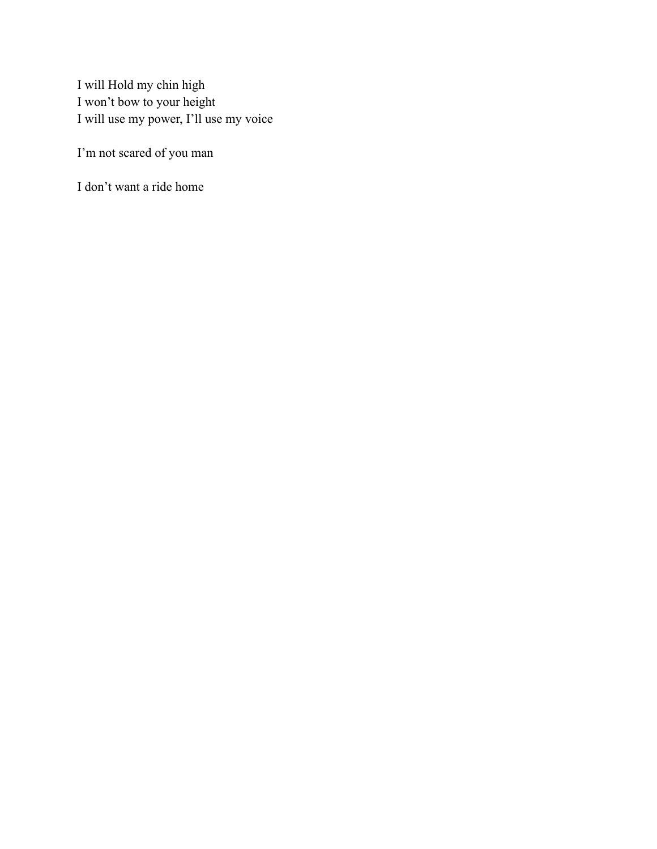I will Hold my chin high I won't bow to your height I will use my power, I'll use my voice

I'm not scared of you man

I don't want a ride home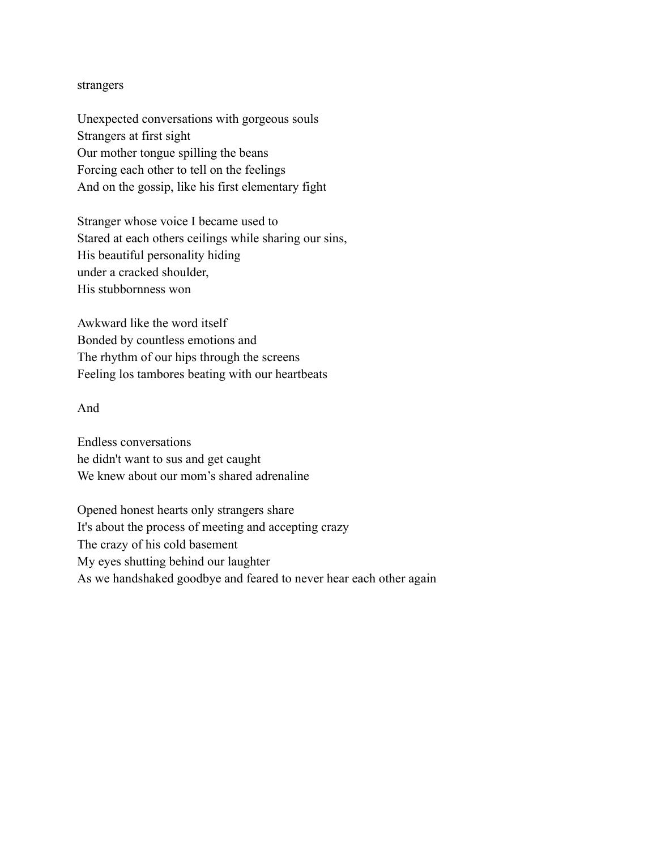#### strangers

Unexpected conversations with gorgeous souls Strangers at first sight Our mother tongue spilling the beans Forcing each other to tell on the feelings And on the gossip, like his first elementary fight

Stranger whose voice I became used to Stared at each others ceilings while sharing our sins, His beautiful personality hiding under a cracked shoulder, His stubbornness won

Awkward like the word itself Bonded by countless emotions and The rhythm of our hips through the screens Feeling los tambores beating with our heartbeats

#### And

Endless conversations he didn't want to sus and get caught We knew about our mom's shared adrenaline

Opened honest hearts only strangers share It's about the process of meeting and accepting crazy The crazy of his cold basement My eyes shutting behind our laughter As we handshaked goodbye and feared to never hear each other again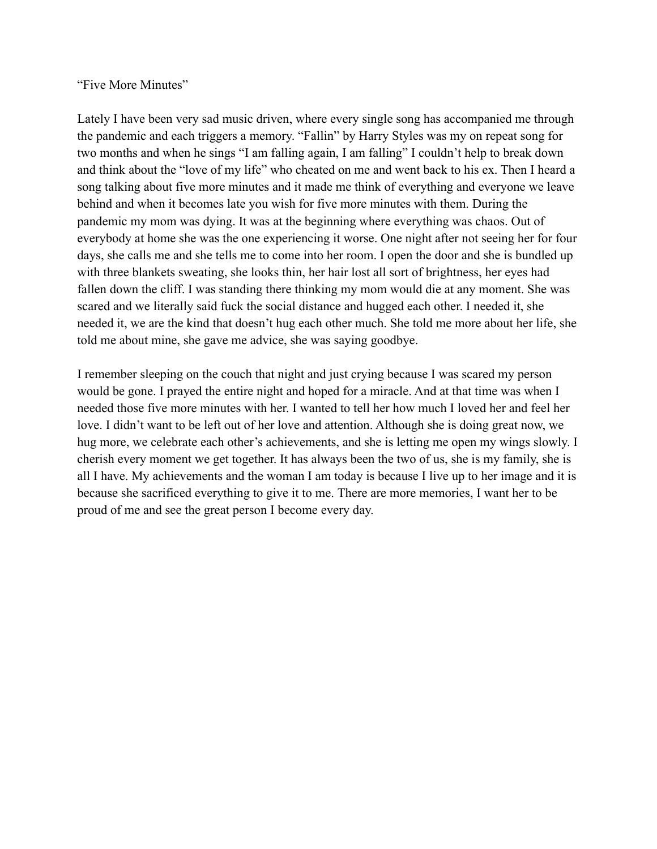# "Five More Minutes"

Lately I have been very sad music driven, where every single song has accompanied me through the pandemic and each triggers a memory. "Fallin" by Harry Styles was my on repeat song for two months and when he sings "I am falling again, I am falling" I couldn't help to break down and think about the "love of my life" who cheated on me and went back to his ex. Then I heard a song talking about five more minutes and it made me think of everything and everyone we leave behind and when it becomes late you wish for five more minutes with them. During the pandemic my mom was dying. It was at the beginning where everything was chaos. Out of everybody at home she was the one experiencing it worse. One night after not seeing her for four days, she calls me and she tells me to come into her room. I open the door and she is bundled up with three blankets sweating, she looks thin, her hair lost all sort of brightness, her eyes had fallen down the cliff. I was standing there thinking my mom would die at any moment. She was scared and we literally said fuck the social distance and hugged each other. I needed it, she needed it, we are the kind that doesn't hug each other much. She told me more about her life, she told me about mine, she gave me advice, she was saying goodbye.

I remember sleeping on the couch that night and just crying because I was scared my person would be gone. I prayed the entire night and hoped for a miracle. And at that time was when I needed those five more minutes with her. I wanted to tell her how much I loved her and feel her love. I didn't want to be left out of her love and attention. Although she is doing great now, we hug more, we celebrate each other's achievements, and she is letting me open my wings slowly. I cherish every moment we get together. It has always been the two of us, she is my family, she is all I have. My achievements and the woman I am today is because I live up to her image and it is because she sacrificed everything to give it to me. There are more memories, I want her to be proud of me and see the great person I become every day.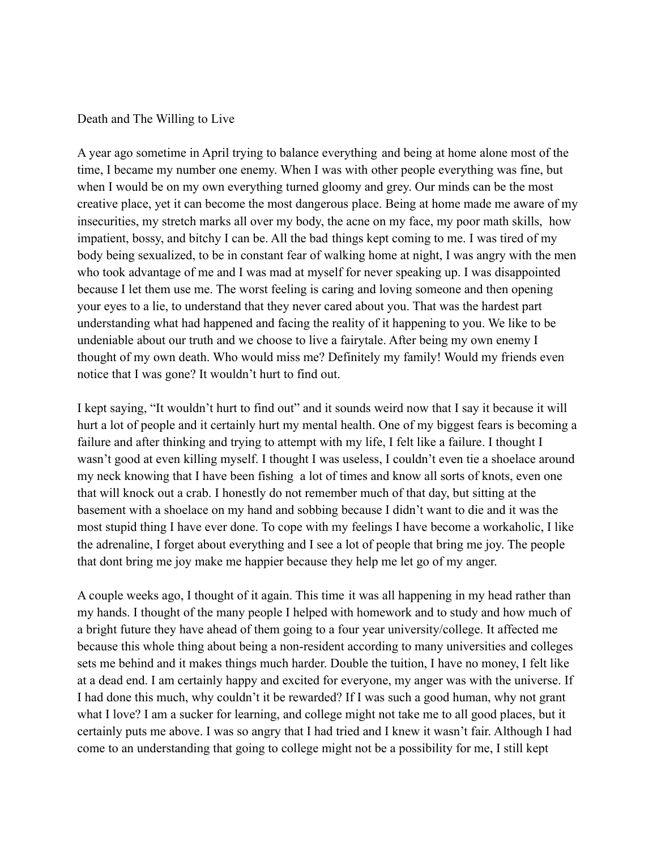## Death and The Willing to Live

A year ago sometime in April trying to balance everything and being at home alone most of the time, I became my number one enemy. When I was with other people everything was fine, but when I would be on my own everything turned gloomy and grey. Our minds can be the most creative place, yet it can become the most dangerous place. Being at home made me aware of my insecurities, my stretch marks all over my body, the acne on my face, my poor math skills, how impatient, bossy, and bitchy I can be. All the bad things kept coming to me. I was tired of my body being sexualized, to be in constant fear of walking home at night, I was angry with the men who took advantage of me and I was mad at myself for never speaking up. I was disappointed because I let them use me. The worst feeling is caring and loving someone and then opening your eyes to a lie, to understand that they never cared about you. That was the hardest part understanding what had happened and facing the reality of it happening to you. We like to be undeniable about our truth and we choose to live a fairytale. After being my own enemy I thought of my own death. Who would miss me? Definitely my family! Would my friends even notice that I was gone? It wouldn't hurt to find out.

I kept saying, "It wouldn't hurt to find out" and it sounds weird now that I say it because it will hurt a lot of people and it certainly hurt my mental health. One of my biggest fears is becoming a failure and after thinking and trying to attempt with my life, I felt like a failure. I thought I wasn't good at even killing myself. I thought I was useless, I couldn't even tie a shoelace around my neck knowing that I have been fishing a lot of times and know all sorts of knots, even one that will knock out a crab. I honestly do not remember much of that day, but sitting at the basement with a shoelace on my hand and sobbing because I didn't want to die and it was the most stupid thing I have ever done. To cope with my feelings I have become a workaholic, I like the adrenaline, I forget about everything and I see a lot of people that bring me joy. The people that dont bring me joy make me happier because they help me let go of my anger.

A couple weeks ago, I thought of it again. This time it was all happening in my head rather than my hands. I thought of the many people I helped with homework and to study and how much of a bright future they have ahead of them going to a four year university/college. It affected me because this whole thing about being a non-resident according to many universities and colleges sets me behind and it makes things much harder. Double the tuition, I have no money, I felt like at a dead end. I am certainly happy and excited for everyone, my anger was with the universe. If I had done this much, why couldn't it be rewarded? If I was such a good human, why not grant what I love? I am a sucker for learning, and college might not take me to all good places, but it certainly puts me above. I was so angry that I had tried and I knew it wasn't fair. Although I had come to an understanding that going to college might not be a possibility for me, I still kept